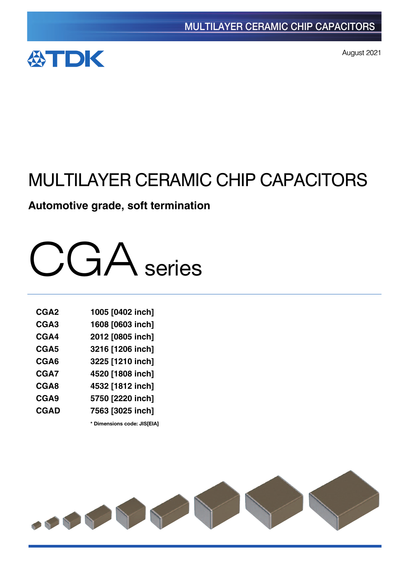

August 2021

# MULTILAYER CERAMIC CHIP CAPACITORS

# **Automotive grade, soft termination**



| CGA <sub>2</sub> | 1005 [0402 inch] |
|------------------|------------------|
| CGA <sub>3</sub> | 1608 [0603 inch] |
| CGA4             | 2012 [0805 inch] |
| CGA5             | 3216 [1206 inch] |
| CGA6             | 3225 [1210 inch] |
| CGA7             | 4520 [1808 inch] |
| CGA8             | 4532 [1812 inch] |
| CGA9             | 5750 [2220 inch] |
| <b>CGAD</b>      | 7563 [3025 inch] |

**\*** Dimensions code: JIS[EIA]

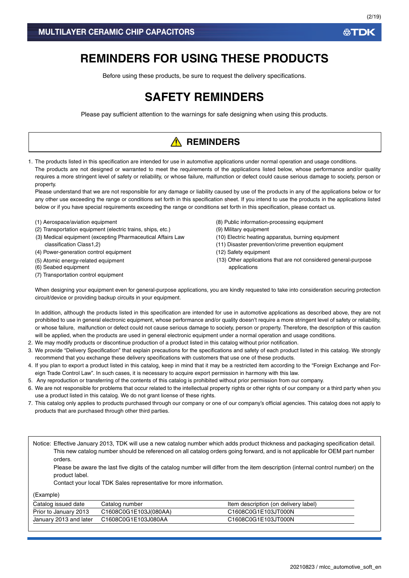# **REMINDERS FOR USING THESE PRODUCTS**

Before using these products, be sure to request the delivery specifications.

# **SAFETY REMINDERS**

Please pay sufficient attention to the warnings for safe designing when using this products.

# **A** REMINDERS

1. The products listed in this specification are intended for use in automotive applications under normal operation and usage conditions. The products are not designed or warranted to meet the requirements of the applications listed below, whose performance and/or quality requires a more stringent level of safety or reliability, or whose failure, malfunction or defect could cause serious damage to society, person or property.

Please understand that we are not responsible for any damage or liability caused by use of the products in any of the applications below or for any other use exceeding the range or conditions set forth in this specification sheet. If you intend to use the products in the applications listed below or if you have special requirements exceeding the range or conditions set forth in this specification, please contact us.

- (1) Aerospace/aviation equipment
- (2) Transportation equipment (electric trains, ships, etc.)
- (3) Medical equipment (excepting Pharmaceutical Affairs Law classification Class1,2)
- (4) Power-generation control equipment
- (5) Atomic energy-related equipment
- (6) Seabed equipment
- (7) Transportation control equipment
- (8) Public information-processing equipment
- (9) Military equipment
- (10) Electric heating apparatus, burning equipment
- (11) Disaster prevention/crime prevention equipment
- (12) Safety equipment
- (13) Other applications that are not considered general-purpose applications

When designing your equipment even for general-purpose applications, you are kindly requested to take into consideration securing protection circuit/device or providing backup circuits in your equipment.

In addition, although the products listed in this specification are intended for use in automotive applications as described above, they are not prohibited to use in general electronic equipment, whose performance and/or quality doesn't require a more stringent level of safety or reliability, or whose failure, malfunction or defect could not cause serious damage to society, person or property. Therefore, the description of this caution will be applied, when the products are used in general electronic equipment under a normal operation and usage conditions.

- 2. We may modify products or discontinue production of a product listed in this catalog without prior notification.
- 3. We provide "Delivery Specification" that explain precautions for the specifications and safety of each product listed in this catalog. We strongly recommend that you exchange these delivery specifications with customers that use one of these products.
- 4. If you plan to export a product listed in this catalog, keep in mind that it may be a restricted item according to the "Foreign Exchange and Foreign Trade Control Law". In such cases, it is necessary to acquire export permission in harmony with this law.
- 5. Any reproduction or transferring of the contents of this catalog is prohibited without prior permission from our company.
- 6. We are not responsible for problems that occur related to the intellectual property rights or other rights of our company or a third party when you use a product listed in this catalog. We do not grant license of these rights.
- 7. This catalog only applies to products purchased through our company or one of our company's official agencies. This catalog does not apply to products that are purchased through other third parties.

Notice: Effective January 2013, TDK will use a new catalog number which adds product thickness and packaging specification detail. This new catalog number should be referenced on all catalog orders going forward, and is not applicable for OEM part number orders.

Please be aware the last five digits of the catalog number will differ from the item description (internal control number) on the product label.

Contact your local TDK Sales representative for more information.

(Example)

| Catalog issued date    | Catalog number        | Item description (on delivery label) |
|------------------------|-----------------------|--------------------------------------|
| Prior to January 2013  | C1608C0G1E103J(080AA) | C1608C0G1E103JT000N                  |
| January 2013 and later | C1608C0G1E103J080AA   | C1608C0G1E103JT000N                  |

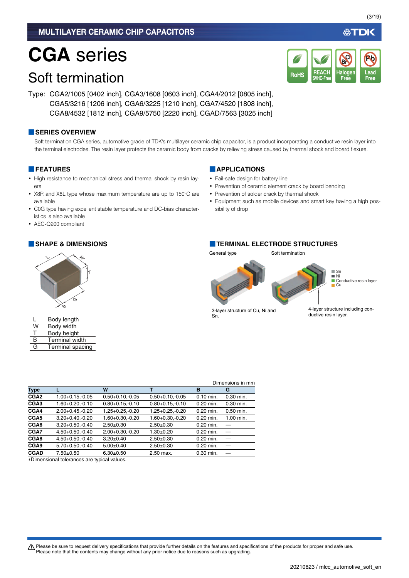# **CGA** series

# Soft termination

Type: CGA2/1005 [0402 inch], CGA3/1608 [0603 inch], CGA4/2012 [0805 inch], CGA5/3216 [1206 inch], CGA6/3225 [1210 inch], CGA7/4520 [1808 inch], CGA8/4532 [1812 inch], CGA9/5750 [2220 inch], CGAD/7563 [3025 inch]

### **■SERIES OVERVIEW**

Soft termination CGA series, automotive grade of TDK's multilayer ceramic chip capacitor, is a product incorporating a conductive resin layer into the terminal electrodes. The resin layer protects the ceramic body from cracks by relieving stress caused by thermal shock and board flexure.

### **■FEATURES**

- High resistance to mechanical stress and thermal shock by resin layers
- X8R and X8L type whose maximum temperature are up to 150°C are available
- C0G type having excellent stable temperature and DC-bias characteristics is also available

**Type L W T B G CGA2** 1.00+0.15,-0.05 0.50+0.10,-0.05 0.50+0.10,-0.05 0.10 min. 0.30 min. **CGA3** 1.60+0.20,-0.10 0.80+0.15,-0.10 0.80+0.15,-0.10 0.20 min. 0.30 min. **CGA4** 2.00+0.45,-0.20 1.25+0.25,-0.20 1.25+0.25,-0.20 0.20 min. 0.50 min. **CGA5** 3.20+0.40,-0.20 1.60+0.30,-0.20 1.60+0.30,-0.20 0.20 min. 1.00 min.

**CGA6** 3.20+0.50,-0.40 2.50±0.30 2.50±0.30 0.20 min. **CGA7** 4.50+0.50,-0.40 2.00+0.30,-0.20 1.30±0.20 0.20 min. **CGA8** 4.50+0.50,-0.40 3.20±0.40 2.50±0.30 0.20 min. **CGA9** 5.70+0.50,-0.40 5.00±0.40 2.50±0.30 0.20 min. **CGAD**  $7.50 \pm 0.50$   $6.30 \pm 0.50$   $2.50$  max.  $0.30$  min. —

• AEC-Q200 compliant

### **■APPLICATIONS**

- Fail-safe design for battery line
- Prevention of ceramic element crack by board bending
- Prevention of solder crack by thermal shock
- Equipment such as mobile devices and smart key having a high possibility of drop

### **■SHAPE & DIMENSIONS ■TERMINAL ELECTRODE STRUCTURES**

General type Soft termination



3-layer structure of Cu, Ni and Sn.

Dimensions in mm

4-layer structure including conductive resin layer.

t Please be sure to request delivery specifications that provide further details on the features and specifications of the products for proper and safe use. Please note that the contents may change without any prior notice due to reasons such as upgrading.

(3/19)

∰TDK





|   | Body length             |
|---|-------------------------|
| W | Body width              |
| т | Body height             |
| R | <b>Terminal width</b>   |
| G | <b>Terminal spacing</b> |
|   |                         |

Dimensional tolerances are typical values.

|   | Body width            |
|---|-----------------------|
|   | Body height           |
| R | <b>Terminal width</b> |
| G | Terminal spacing      |
|   |                       |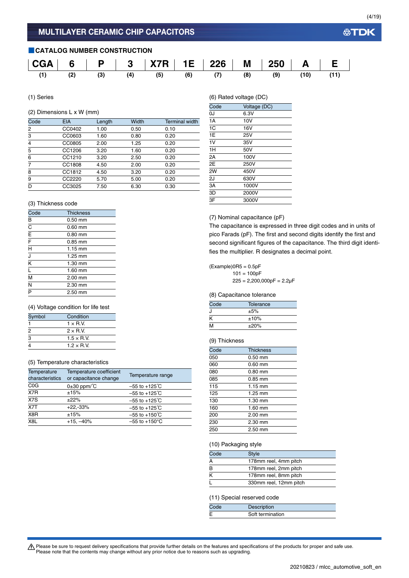### **■CATALOG NUMBER CONSTRUCTION**

|  |  | $\mid$ CGA $\mid$ 6 $\mid$ P $\mid$ 3 $\mid$ X7R $\mid$ 1E $\mid$ 226 $\mid$ M $\mid$ 250 $\mid$ A $\mid$ E $\mid$ |  |  |  |
|--|--|--------------------------------------------------------------------------------------------------------------------|--|--|--|
|  |  | (1) (2) (3) (4) (5) (6) (7) (8) (9) (10) (11)                                                                      |  |  |  |

(1) Series

### (2) Dimensions L x W (mm)

| <b>EIA</b> | Length | Width | <b>Terminal width</b> |
|------------|--------|-------|-----------------------|
| CC0402     | 1.00   | 0.50  | 0.10                  |
| CC0603     | 1.60   | 0.80  | 0.20                  |
| CC0805     | 2.00   | 1.25  | 0.20                  |
| CC1206     | 3.20   | 1.60  | 0.20                  |
| CC1210     | 3.20   | 2.50  | 0.20                  |
| CC1808     | 4.50   | 2.00  | 0.20                  |
| CC1812     | 4.50   | 3.20  | 0.20                  |
| CC2220     | 5.70   | 5.00  | 0.20                  |
| CC3025     | 7.50   | 6.30  | 0.30                  |
|            |        |       |                       |

### (3) Thickness code

| Code                    | <b>Thickness</b>  |
|-------------------------|-------------------|
| B                       | $0.50$ mm         |
| $\overline{c}$          | $0.60$ mm         |
| $\overline{\mathsf{E}}$ | $0.80$ mm         |
| $\overline{F}$          | $0.85$ mm         |
| H                       | $1.15 \text{ mm}$ |
| J                       | 1.25 mm           |
| K                       | 1.30 mm           |
| ī                       | $1.60$ mm         |
| M                       | 2.00 mm           |
| N                       | 2.30 mm           |
| P                       | 2.50 mm           |

### (4) Voltage condition for life test

| Symbol | Condition          |
|--------|--------------------|
|        | $1 \times R$ V     |
| 2      | $2 \times R V$     |
| 3      | $1.5 \times R$ .V. |
|        | $1.2 \times$ RV    |

### (5) Temperature characteristics

| Temperature<br>characteristics | Temperature coefficient<br>or capacitance change | Temperature range         |
|--------------------------------|--------------------------------------------------|---------------------------|
| C <sub>0</sub> G               | $0\pm30$ ppm/ $\degree$ C                        | $-55$ to $+125^{\circ}$ C |
| X7R                            | ±15%                                             | $-55$ to $+125^{\circ}$ C |
| X7S                            | ±22%                                             | $-55$ to $+125^{\circ}$ C |
| X7T                            | $+22,-33%$                                       | $-55$ to $+125^{\circ}$ C |
| X8R                            | ±15%                                             | $-55$ to $+150^{\circ}$ C |
| X <sub>8</sub> L               | $+15, -40%$                                      | $-55$ to $+150^{\circ}$ C |
|                                |                                                  |                           |

(6) Rated voltage (DC)

| $\sqrt{-1}$    | , - די פי    |
|----------------|--------------|
| Code           | Voltage (DC) |
| 0J             | 6.3V         |
| 1A             | 10V          |
| 1 <sup>C</sup> | 16V          |
| 1E             | 25V          |
| 1V             | 35V          |
| 1H             | 50V          |
| 2A             | 100V         |
| 2E             | 250V         |
| 2W             | 450V         |
| 2J             | 630V         |
| 3A             | 1000V        |
| 3D             | 2000V        |
| 3F             | 3000V        |
|                |              |

(7) Nominal capacitance (pF)

The capacitance is expressed in three digit codes and in units of pico Farads (pF). The first and second digits identify the first and second significant figures of the capacitance. The third digit identifies the multiplier. R designates a decimal point.

 $(Example)$ OR5 = 0.5pF  $101 = 100pF$  $225 = 2,200,000pF = 2.2\mu F$ 

### (8) Capacitance tolerance

| Code | Tolerance |  |
|------|-----------|--|
| . I  | ±5%       |  |
| ĸ    | ±10%      |  |
| M    | ±20%      |  |

### (9) Thickness

| Code | <b>Thickness</b>  |  |
|------|-------------------|--|
| 050  | $0.50$ mm         |  |
| 060  | $0.60$ mm         |  |
| 080  | $0.80$ mm         |  |
| 085  | $0.85$ mm         |  |
| 115  | $1.15 \text{ mm}$ |  |
| 125  | 1.25 mm           |  |
| 130  | 1.30 mm           |  |
| 160  | 1.60 mm           |  |
| 200  | 2.00 mm           |  |
| 230  | 2.30 mm           |  |
| 250  | $2.50$ mm         |  |

### (10) Packaging style

| Code | <b>Style</b>           |  |
|------|------------------------|--|
| A    | 178mm reel, 4mm pitch  |  |
| B    | 178mm reel, 2mm pitch  |  |
| к    | 178mm reel, 8mm pitch  |  |
|      | 330mm reel, 12mm pitch |  |

### (11) Special reserved code

| Code | Description      |
|------|------------------|
|      | Soft termination |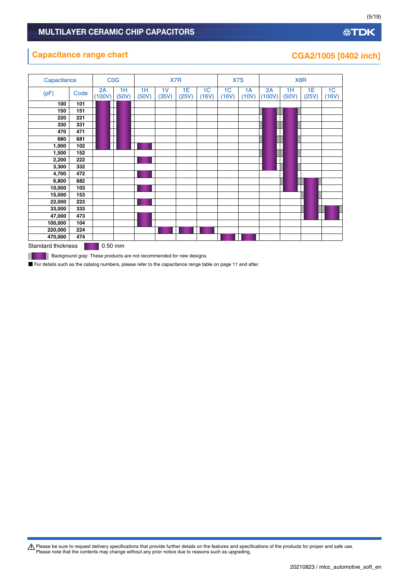### **公TDK**

### **Capacitance range chart CGA2/1005 [0402 inch]**

| Capacitance        |      | COG               |             |             |                         | X7R         |                         | X7S                     |             |              |             | X8R         |                         |
|--------------------|------|-------------------|-------------|-------------|-------------------------|-------------|-------------------------|-------------------------|-------------|--------------|-------------|-------------|-------------------------|
| (pF)               | Code | 2A<br>(100V)      | 1H<br>(50V) | 1H<br>(50V) | 1 <sub>V</sub><br>(35V) | 1E<br>(25V) | 1 <sup>C</sup><br>(16V) | 1 <sub>C</sub><br>(16V) | 1A<br>(10V) | 2A<br>(100V) | 1H<br>(50V) | 1E<br>(25V) | 1 <sub>C</sub><br>(16V) |
| 100                | 101  |                   |             |             |                         |             |                         |                         |             |              |             |             |                         |
| 150                | 151  |                   |             |             |                         |             |                         |                         |             |              |             |             |                         |
| 220                | 221  |                   |             |             |                         |             |                         |                         |             |              |             |             |                         |
| 330                | 331  |                   |             |             |                         |             |                         |                         |             |              |             |             |                         |
| 470                | 471  |                   |             |             |                         |             |                         |                         |             |              |             |             |                         |
| 680                | 681  |                   |             |             |                         |             |                         |                         |             |              |             |             |                         |
| 1,000              | 102  |                   |             |             |                         |             |                         |                         |             |              |             |             |                         |
| 1,500              | 152  |                   |             |             |                         |             |                         |                         |             |              |             |             |                         |
| 2,200              | 222  |                   |             |             |                         |             |                         |                         |             |              |             |             |                         |
| 3,300              | 332  |                   |             |             |                         |             |                         |                         |             |              |             |             |                         |
| 4,700              | 472  |                   |             |             |                         |             |                         |                         |             |              |             |             |                         |
| 6,800              | 682  |                   |             |             |                         |             |                         |                         |             |              |             |             |                         |
| 10,000             | 103  |                   |             |             |                         |             |                         |                         |             |              |             |             |                         |
| 15,000             | 153  |                   |             |             |                         |             |                         |                         |             |              |             |             |                         |
| 22,000             | 223  |                   |             |             |                         |             |                         |                         |             |              |             |             |                         |
| 33,000             | 333  |                   |             |             |                         |             |                         |                         |             |              |             |             |                         |
| 47,000             | 473  |                   |             |             |                         |             |                         |                         |             |              |             |             |                         |
| 100,000            | 104  |                   |             |             |                         |             |                         |                         |             |              |             |             |                         |
| 220,000            | 224  |                   |             |             |                         |             |                         |                         |             |              |             |             |                         |
| 470,000            | 474  |                   |             |             |                         |             |                         |                         |             |              |             |             |                         |
| Standard thicknose |      | $0.50 \text{ mm}$ |             |             |                         |             |                         |                         |             |              |             |             |                         |

Standard thickness **6.50 mm** 

**Background gray: These products are not recommended for new designs.** 

■ For details such as the catalog numbers, please refer to the capacitance range table on page 11 and after.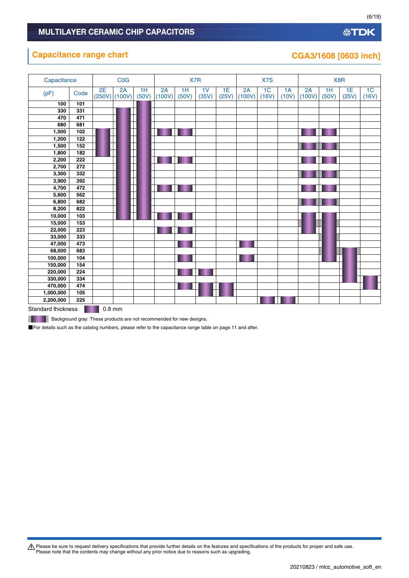### **Capacitance range chart**

| Capacitance      |                        |    | <b>C<sub>O</sub></b> G  |             |              |             | X7R         |             |              | X7S                     |             |              | X8R         |             |                         |
|------------------|------------------------|----|-------------------------|-------------|--------------|-------------|-------------|-------------|--------------|-------------------------|-------------|--------------|-------------|-------------|-------------------------|
| (pF)             | Code                   | 2E | 2A<br>$(250V)$ $(100V)$ | 1H<br>(50V) | 2A<br>(100V) | 1H<br>(50V) | 1V<br>(35V) | 1E<br>(25V) | 2A<br>(100V) | 1 <sub>C</sub><br>(16V) | 1A<br>(10V) | 2A<br>(100V) | 1H<br>(50V) | 1E<br>(25V) | 1 <sup>C</sup><br>(16V) |
| 100              | 101                    |    |                         |             |              |             |             |             |              |                         |             |              |             |             |                         |
| 330              | 331                    |    |                         |             |              |             |             |             |              |                         |             |              |             |             |                         |
| 470              | 471                    |    |                         |             |              |             |             |             |              |                         |             |              |             |             |                         |
| 680              | 681                    |    |                         |             |              |             |             |             |              |                         |             |              |             |             |                         |
| 1,000            | 102                    |    |                         |             |              |             |             |             |              |                         |             |              |             |             |                         |
| 1,200            | 122                    |    |                         |             |              |             |             |             |              |                         |             |              |             |             |                         |
| 1,500            | 152                    |    | T                       |             |              |             |             |             |              |                         |             |              |             |             |                         |
| 1,800            | 182                    |    | ┿                       |             |              |             |             |             |              |                         |             |              |             |             |                         |
| 2,200            | 222                    |    |                         |             |              |             |             |             |              |                         |             |              |             |             |                         |
| 2,700            | 272                    |    |                         |             |              |             |             |             |              |                         |             |              |             |             |                         |
| 3,300            | 332                    |    | T                       |             |              |             |             |             |              |                         |             |              |             |             |                         |
| 3,900            | 392                    |    | ┎┾                      |             |              |             |             |             |              |                         |             |              |             |             |                         |
| 4,700            | 472                    |    | ┯                       |             |              |             |             |             |              |                         |             |              |             |             |                         |
| 5,600            | 562                    |    |                         |             |              |             |             |             |              |                         |             |              |             |             |                         |
| 6,800            | 682<br>822             |    |                         |             |              |             |             |             |              |                         |             |              |             |             |                         |
| 8,200            |                        |    |                         |             |              |             |             |             |              |                         |             |              |             |             |                         |
| 10,000<br>15,000 | $\frac{1}{103}$<br>153 |    |                         |             |              |             |             |             |              |                         |             |              |             |             |                         |
| 22,000           | 223                    |    |                         |             |              |             |             |             |              |                         |             |              |             |             |                         |
| 33,000           | 333                    |    |                         |             |              |             |             |             |              |                         |             |              |             |             |                         |
| 47,000           | 473                    |    |                         |             |              |             |             |             |              |                         |             |              |             |             |                         |
| 68,000           | 683                    |    |                         |             |              |             |             |             |              |                         |             |              |             |             |                         |
| 100,000          | 104                    |    |                         |             |              |             |             |             |              |                         |             |              |             |             |                         |
| 150,000          | 154                    |    |                         |             |              |             |             |             |              |                         |             |              |             |             |                         |
| 220,000          | 224                    |    |                         |             |              |             |             |             |              |                         |             |              |             |             |                         |
| 330,000          | 334                    |    |                         |             |              |             |             |             |              |                         |             |              |             |             |                         |
| 470,000          | 474                    |    |                         |             |              |             |             |             |              |                         |             |              |             |             |                         |
| 1,000,000        | 105                    |    |                         |             |              |             |             |             |              |                         |             |              |             |             |                         |
| 2,200,000        | 225                    |    |                         |             |              |             |             |             |              |                         |             |              |             |             |                         |
|                  |                        | ÷  |                         |             |              |             |             |             |              |                         |             |              |             |             |                         |

Standard thickness **0.8 mm** 

**Background gray: These products are not recommended for new designs.** 

■For details such as the catalog numbers, please refer to the capacitance range table on page 11 and after.

Please be sure to request delivery specifications that provide further details on the features and specifications of the products for proper and safe use.<br>Please note that the contents may change without any prior notice d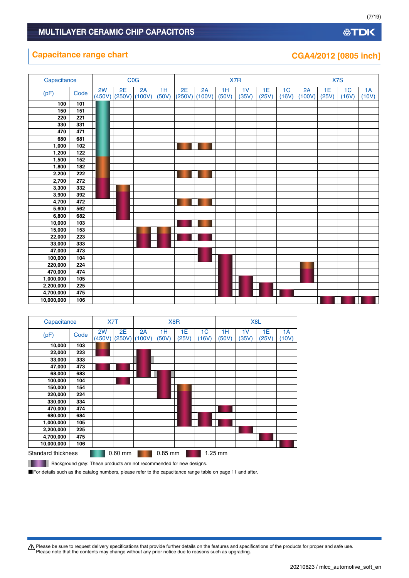### **Capacitance range chart**

| CGA4/2012 [0805 inch] |  |  |
|-----------------------|--|--|
|                       |  |  |

| Capacitance |      |    |                         | <b>C<sub>O</sub></b> G |             |    |                       |             | X7R                     |             |                         |              | X7S         |                         |             |
|-------------|------|----|-------------------------|------------------------|-------------|----|-----------------------|-------------|-------------------------|-------------|-------------------------|--------------|-------------|-------------------------|-------------|
| (pF)        | Code | 2W | 2E<br>$(450V)$ $(250V)$ | 2A<br>(100V)           | 1H<br>(50V) | 2E | 2A<br>$(250V)$ (100V) | 1H<br>(50V) | 1 <sub>V</sub><br>(35V) | 1E<br>(25V) | 1 <sub>C</sub><br>(16V) | 2A<br>(100V) | 1E<br>(25V) | 1 <sub>C</sub><br>(16V) | 1A<br>(10V) |
| 100         | 101  |    |                         |                        |             |    |                       |             |                         |             |                         |              |             |                         |             |
| 150         | 151  |    |                         |                        |             |    |                       |             |                         |             |                         |              |             |                         |             |
| 220         | 221  |    |                         |                        |             |    |                       |             |                         |             |                         |              |             |                         |             |
| 330         | 331  |    |                         |                        |             |    |                       |             |                         |             |                         |              |             |                         |             |
| 470         | 471  |    |                         |                        |             |    |                       |             |                         |             |                         |              |             |                         |             |
| 680         | 681  |    |                         |                        |             |    |                       |             |                         |             |                         |              |             |                         |             |
| 1,000       | 102  |    |                         |                        |             |    |                       |             |                         |             |                         |              |             |                         |             |
| 1,200       | 122  |    |                         |                        |             |    |                       |             |                         |             |                         |              |             |                         |             |
| 1,500       | 152  |    |                         |                        |             |    |                       |             |                         |             |                         |              |             |                         |             |
| 1,800       | 182  |    |                         |                        |             |    |                       |             |                         |             |                         |              |             |                         |             |
| 2,200       | 222  |    |                         |                        |             |    |                       |             |                         |             |                         |              |             |                         |             |
| 2,700       | 272  |    |                         |                        |             |    |                       |             |                         |             |                         |              |             |                         |             |
| 3,300       | 332  |    |                         |                        |             |    |                       |             |                         |             |                         |              |             |                         |             |
| 3,900       | 392  |    |                         |                        |             |    |                       |             |                         |             |                         |              |             |                         |             |
| 4,700       | 472  |    |                         |                        |             |    |                       |             |                         |             |                         |              |             |                         |             |
| 5,600       | 562  |    |                         |                        |             |    |                       |             |                         |             |                         |              |             |                         |             |
| 6,800       | 682  |    |                         |                        |             |    |                       |             |                         |             |                         |              |             |                         |             |
| 10,000      | 103  |    |                         |                        |             |    |                       |             |                         |             |                         |              |             |                         |             |
| 15,000      | 153  |    |                         |                        |             |    |                       |             |                         |             |                         |              |             |                         |             |
| 22,000      | 223  |    |                         |                        |             |    |                       |             |                         |             |                         |              |             |                         |             |
| 33,000      | 333  |    |                         |                        |             |    |                       |             |                         |             |                         |              |             |                         |             |
| 47,000      | 473  |    |                         |                        |             |    |                       |             |                         |             |                         |              |             |                         |             |
| 100,000     | 104  |    |                         |                        |             |    |                       |             |                         |             |                         |              |             |                         |             |
| 220,000     | 224  |    |                         |                        |             |    |                       |             |                         |             |                         |              |             |                         |             |
| 470,000     | 474  |    |                         |                        |             |    |                       |             |                         |             |                         |              |             |                         |             |
| 1,000,000   | 105  |    |                         |                        |             |    |                       |             |                         |             |                         |              |             |                         |             |
| 2,200,000   | 225  |    |                         |                        |             |    |                       |             |                         |             |                         |              |             |                         |             |
| 4,700,000   | 475  |    |                         |                        |             |    |                       |             |                         |             |                         |              |             |                         |             |
| 10,000,000  | 106  |    |                         |                        |             |    |                       |             |                         |             |                         |              |             |                         |             |

| Capacitance               |      |              | X7T          |              |             | X <sub>8</sub> R |             |             | X <sub>8</sub> L        |             |             |
|---------------------------|------|--------------|--------------|--------------|-------------|------------------|-------------|-------------|-------------------------|-------------|-------------|
| (pF)                      | Code | 2W<br>(450V) | 2E<br>(250V) | 2A<br>(100V) | 1H<br>(50V) | 1E<br>(25V)      | 1C<br>(16V) | 1H<br>(50V) | 1 <sub>V</sub><br>(35V) | 1E<br>(25V) | 1A<br>(10V) |
| 10,000                    | 103  |              |              |              |             |                  |             |             |                         |             |             |
| 22,000                    | 223  |              |              |              |             |                  |             |             |                         |             |             |
| 33,000                    | 333  |              |              |              |             |                  |             |             |                         |             |             |
| 47,000                    | 473  |              |              |              |             |                  |             |             |                         |             |             |
| 68,000                    | 683  |              |              |              |             |                  |             |             |                         |             |             |
| 100,000                   | 104  |              |              |              |             |                  |             |             |                         |             |             |
| 150,000                   | 154  |              |              |              |             |                  |             |             |                         |             |             |
| 220,000                   | 224  |              |              |              |             |                  |             |             |                         |             |             |
| 330,000                   | 334  |              |              |              |             |                  |             |             |                         |             |             |
| 470,000                   | 474  |              |              |              |             |                  |             |             |                         |             |             |
| 680,000                   | 684  |              |              |              |             |                  |             |             |                         |             |             |
| 1,000,000                 | 105  |              |              |              |             |                  |             |             |                         |             |             |
| 2,200,000                 | 225  |              |              |              |             |                  |             |             |                         |             |             |
| 4,700,000                 | 475  |              |              |              |             |                  |             |             |                         |             |             |
| 10,000,000                | 106  |              |              |              |             |                  |             |             |                         |             |             |
| <b>Standard thickness</b> |      |              | $0.60$ mm    |              | $0.85$ mm   |                  |             | 1.25 mm     |                         |             |             |

**Background gray: These products are not recommended for new designs.** 

■For details such as the catalog numbers, please refer to the capacitance range table on page 11 and after.

Please be sure to request delivery specifications that provide further details on the features and specifications of the products for proper and safe use.<br>Please note that the contents may change without any prior notice d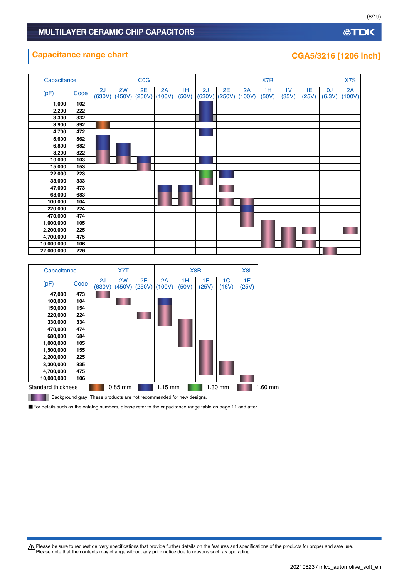### **Capacitance range chart CGA5/3216** [1206 inch]

| Capacitance |      |              |              | COG          |              |             |              |              |              | X7R         |             |             |              | X7S          |
|-------------|------|--------------|--------------|--------------|--------------|-------------|--------------|--------------|--------------|-------------|-------------|-------------|--------------|--------------|
| (pF)        | Code | 2J<br>(630V) | 2W<br>(450V) | 2E<br>(250V) | 2A<br>(100V) | 1H<br>(50V) | 2J<br>(630V) | 2E<br>(250V) | 2A<br>(100V) | 1H<br>(50V) | 1V<br>(35V) | 1E<br>(25V) | 0J<br>(6.3V) | 2A<br>(100V) |
| 1,000       | 102  |              |              |              |              |             |              |              |              |             |             |             |              |              |
| 2,200       | 222  |              |              |              |              |             |              |              |              |             |             |             |              |              |
| 3,300       | 332  |              |              |              |              |             |              |              |              |             |             |             |              |              |
| 3,900       | 392  |              |              |              |              |             |              |              |              |             |             |             |              |              |
| 4,700       | 472  |              |              |              |              |             |              |              |              |             |             |             |              |              |
| 5,600       | 562  |              |              |              |              |             |              |              |              |             |             |             |              |              |
| 6,800       | 682  |              |              |              |              |             |              |              |              |             |             |             |              |              |
| 8,200       | 822  |              |              |              |              |             |              |              |              |             |             |             |              |              |
| 10,000      | 103  |              |              |              |              |             |              |              |              |             |             |             |              |              |
| 15,000      | 153  |              |              |              |              |             |              |              |              |             |             |             |              |              |
| 22,000      | 223  |              |              |              |              |             |              |              |              |             |             |             |              |              |
| 33,000      | 333  |              |              |              |              |             |              |              |              |             |             |             |              |              |
| 47,000      | 473  |              |              |              |              |             |              |              |              |             |             |             |              |              |
| 68,000      | 683  |              |              |              |              |             |              |              |              |             |             |             |              |              |
| 100,000     | 104  |              |              |              |              |             |              |              |              |             |             |             |              |              |
| 220,000     | 224  |              |              |              |              |             |              |              |              |             |             |             |              |              |
| 470,000     | 474  |              |              |              |              |             |              |              |              |             |             |             |              |              |
| 1,000,000   | 105  |              |              |              |              |             |              |              |              |             |             |             |              |              |
| 2,200,000   | 225  |              |              |              |              |             |              |              |              |             |             |             |              |              |
| 4,700,000   | 475  |              |              |              |              |             |              |              |              |             |             |             |              |              |
| 10,000,000  | 106  |              |              |              |              |             |              |              |              |             |             |             |              |              |
| 22,000,000  | 226  |              |              |              |              |             |              |              |              |             |             |             |              |              |

| Capacitance        |      |    | X7T                     |              |              |             | X <sub>8</sub> R |             | X <sub>8</sub> L |         |
|--------------------|------|----|-------------------------|--------------|--------------|-------------|------------------|-------------|------------------|---------|
| (pF)               | Code | 2J | 2W<br>$(630V)$ $(450V)$ | 2E<br>(250V) | 2A<br>(100V) | 1Н<br>(50V) | 1E<br>(25V)      | 1C<br>(16V) | 1E<br>(25V)      |         |
| 47,000             | 473  |    |                         |              |              |             |                  |             |                  |         |
| 100,000            | 104  |    |                         |              |              |             |                  |             |                  |         |
| 150,000            | 154  |    |                         |              |              |             |                  |             |                  |         |
| 220,000            | 224  |    |                         |              |              |             |                  |             |                  |         |
| 330,000            | 334  |    |                         |              |              |             |                  |             |                  |         |
| 470,000            | 474  |    |                         |              |              |             |                  |             |                  |         |
| 680,000            | 684  |    |                         |              |              |             |                  |             |                  |         |
| 1,000,000          | 105  |    |                         |              |              |             |                  |             |                  |         |
| 1,500,000          | 155  |    |                         |              |              |             |                  |             |                  |         |
| 2,200,000          | 225  |    |                         |              |              |             |                  |             |                  |         |
| 3,300,000          | 335  |    |                         |              |              |             |                  |             |                  |         |
| 4,700,000          | 475  |    |                         |              |              |             |                  |             |                  |         |
| 10,000,000         | 106  |    |                         |              |              |             |                  |             |                  |         |
| Standard thickness |      |    | $0.85$ mm               |              | $1.15$ mm    |             |                  | 1.30 mm     |                  | 1.60 mm |

**Background gray: These products are not recommended for new designs.** 

■For details such as the catalog numbers, please refer to the capacitance range table on page 11 and after.

Please be sure to request delivery specifications that provide further details on the features and specifications of the products for proper and safe use.<br>Please note that the contents may change without any prior notice d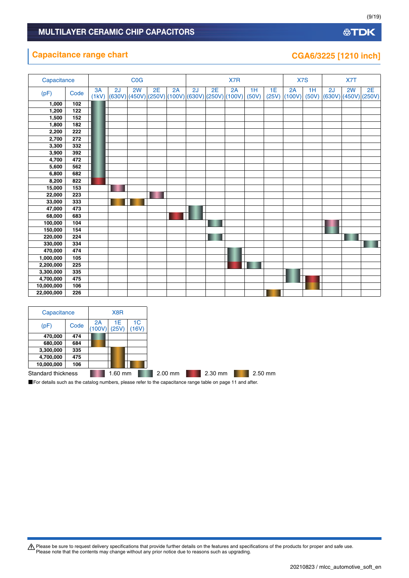# **Capacitance range chart CGA6/3225 [1210 inch]**

| Capacitance |      |             |    | <b>COG</b> |    |    |                                                    |    | X7R |             |             |              | X7S         |    | X7T |                                  |
|-------------|------|-------------|----|------------|----|----|----------------------------------------------------|----|-----|-------------|-------------|--------------|-------------|----|-----|----------------------------------|
| (pF)        | Code | 3A<br>(1kV) | 2J | 2W         | 2E | 2A | 2J<br>$(630V)(450V)(250V)(100V)(630V)(250V)(100V)$ | 2E | 2A  | 1H<br>(50V) | 1E<br>(25V) | 2A<br>(100V) | 1H<br>(50V) | 2J | 2W  | 2E<br>$(630V)$ $(450V)$ $(250V)$ |
| 1,000       | 102  |             |    |            |    |    |                                                    |    |     |             |             |              |             |    |     |                                  |
| 1,200       | 122  |             |    |            |    |    |                                                    |    |     |             |             |              |             |    |     |                                  |
| 1,500       | 152  |             |    |            |    |    |                                                    |    |     |             |             |              |             |    |     |                                  |
| 1,800       | 182  |             |    |            |    |    |                                                    |    |     |             |             |              |             |    |     |                                  |
| 2,200       | 222  |             |    |            |    |    |                                                    |    |     |             |             |              |             |    |     |                                  |
| 2,700       | 272  |             |    |            |    |    |                                                    |    |     |             |             |              |             |    |     |                                  |
| 3,300       | 332  |             |    |            |    |    |                                                    |    |     |             |             |              |             |    |     |                                  |
| 3,900       | 392  |             |    |            |    |    |                                                    |    |     |             |             |              |             |    |     |                                  |
| 4,700       | 472  |             |    |            |    |    |                                                    |    |     |             |             |              |             |    |     |                                  |
| 5,600       | 562  |             |    |            |    |    |                                                    |    |     |             |             |              |             |    |     |                                  |
| 6,800       | 682  |             |    |            |    |    |                                                    |    |     |             |             |              |             |    |     |                                  |
| 8,200       | 822  |             |    |            |    |    |                                                    |    |     |             |             |              |             |    |     |                                  |
| 15,000      | 153  |             |    |            |    |    |                                                    |    |     |             |             |              |             |    |     |                                  |
| 22,000      | 223  |             |    |            |    |    |                                                    |    |     |             |             |              |             |    |     |                                  |
| 33,000      | 333  |             |    |            |    |    |                                                    |    |     |             |             |              |             |    |     |                                  |
| 47,000      | 473  |             |    |            |    |    |                                                    |    |     |             |             |              |             |    |     |                                  |
| 68,000      | 683  |             |    |            |    |    |                                                    |    |     |             |             |              |             |    |     |                                  |
| 100,000     | 104  |             |    |            |    |    |                                                    |    |     |             |             |              |             |    |     |                                  |
| 150,000     | 154  |             |    |            |    |    |                                                    |    |     |             |             |              |             |    |     |                                  |
| 220,000     | 224  |             |    |            |    |    |                                                    |    |     |             |             |              |             |    |     |                                  |
| 330,000     | 334  |             |    |            |    |    |                                                    |    |     |             |             |              |             |    |     |                                  |
| 470,000     | 474  |             |    |            |    |    |                                                    |    |     |             |             |              |             |    |     |                                  |
| 1,000,000   | 105  |             |    |            |    |    |                                                    |    |     |             |             |              |             |    |     |                                  |
| 2,200,000   | 225  |             |    |            |    |    |                                                    |    |     |             |             |              |             |    |     |                                  |
| 3,300,000   | 335  |             |    |            |    |    |                                                    |    |     |             |             |              |             |    |     |                                  |
| 4,700,000   | 475  |             |    |            |    |    |                                                    |    |     |             |             |              |             |    |     |                                  |
| 10,000,000  | 106  |             |    |            |    |    |                                                    |    |     |             |             |              |             |    |     |                                  |
| 22,000,000  | 226  |             |    |            |    |    |                                                    |    |     |             |             |              |             |    |     |                                  |

| Capacitance        |      |              | X8R         |             |
|--------------------|------|--------------|-------------|-------------|
| (pF)               | Code | 2A<br>(100V) | 1Ε<br>(25V) | 1C<br>(16V) |
| 470,000            | 474  |              |             |             |
| 680,000            | 684  |              |             |             |
| 3,300,000          | 335  |              |             |             |
| 4,700,000          | 475  |              |             |             |
| 10,000,000         | 106  |              |             |             |
| Standard thickness |      |              | $1.60$ mm   |             |

■For details such as the catalog numbers, please refer to the capacitance range table on page 11 and after.

Please be sure to request delivery specifications that provide further details on the features and specifications of the products for proper and safe use.<br>Please note that the contents may change without any prior notice d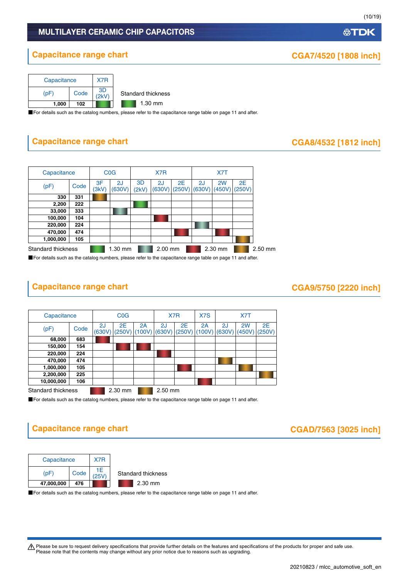# **Capacitance range chart CGA7/4520 [1808 inch]**



■For details such as the catalog numbers, please refer to the capacitance range table on page 11 and after.

# **Capacitance range chart CAS/4532 [1812 inch]**

| Capacitance        |      | <b>C<sub>O</sub></b> |              | X7R         |              |    | X7T                   |         |                       |         |
|--------------------|------|----------------------|--------------|-------------|--------------|----|-----------------------|---------|-----------------------|---------|
| (pF)               | Code | 3F<br>(3kV)          | 2J<br>(630V) | 3D<br>(2kV) | 2J<br>(630V) | 2E | 2J<br>$(250V)$ (630V) | 2W      | 2E<br>$(450V)$ (250V) |         |
| 330                | 331  |                      |              |             |              |    |                       |         |                       |         |
| 2,200              | 222  |                      |              |             |              |    |                       |         |                       |         |
| 33,000             | 333  |                      |              |             |              |    |                       |         |                       |         |
| 100,000            | 104  |                      |              |             |              |    |                       |         |                       |         |
| 220,000            | 224  |                      |              |             |              |    |                       |         |                       |         |
| 470,000            | 474  |                      |              |             |              |    |                       |         |                       |         |
| 1,000,000          | 105  |                      |              |             |              |    |                       |         |                       |         |
| Standard thickness |      |                      | $1.30$ mm    |             | $2.00$ mm    |    |                       | 2.30 mm |                       | 2.50 mm |

■For details such as the catalog numbers, please refer to the capacitance range table on page 11 and after.

# **Capacitance range chart**

| CGA9/5750 [2220 inch] |  |  |
|-----------------------|--|--|
|-----------------------|--|--|

| Capacitance        |      | COG          |              |              | X7R       |                         | X7S          |              | X7T          |              |  |
|--------------------|------|--------------|--------------|--------------|-----------|-------------------------|--------------|--------------|--------------|--------------|--|
| (pF)               | Code | 2J<br>(630V) | 2E<br>(250V) | 2A<br>(100V) | 2J        | 2E<br>$(630V)$ $(250V)$ | 2A<br>(100V) | 2J<br>(630V) | 2W<br>(450V) | 2E<br>(250V) |  |
| 68,000             | 683  |              |              |              |           |                         |              |              |              |              |  |
| 150,000            | 154  |              |              |              |           |                         |              |              |              |              |  |
| 220,000            | 224  |              |              |              |           |                         |              |              |              |              |  |
| 470,000            | 474  |              |              |              |           |                         |              |              |              |              |  |
| 1,000,000          | 105  |              |              |              |           |                         |              |              |              |              |  |
| 2,200,000          | 225  |              |              |              |           |                         |              |              |              |              |  |
| 10,000,000         | 106  |              |              |              |           |                         |              |              |              |              |  |
| Standard thickness |      |              | $2.30$ mm    |              | $2.50$ mm |                         |              |              |              |              |  |

■For details such as the catalog numbers, please refer to the capacitance range table on page 11 and after.

# **Capacitance range chart CGAD/7563** [3025 inch]





■For details such as the catalog numbers, please refer to the capacitance range table on page 11 and after.

Please be sure to request delivery specifications that provide further details on the features and specifications of the products for proper and safe use.<br>Please note that the contents may change without any prior notice d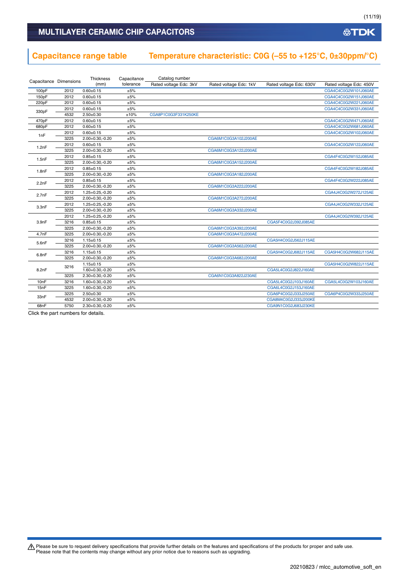### MULTILAYER CERAMIC CHIP CAPACITORS

# **Capacitance range table Temperature characteristic: C0G (–55 to +125°C, 0±30ppm/°C)**

| Capacitance Dimensions |      | Thickness            | Capacitance | Catalog number         |                        |                         |                         |
|------------------------|------|----------------------|-------------|------------------------|------------------------|-------------------------|-------------------------|
|                        |      | (mm)                 | tolerance   | Rated voltage Edc: 3kV | Rated voltage Edc: 1kV | Rated voltage Edc: 630V | Rated voltage Edc: 450V |
| 100pF                  | 2012 | $0.60 + 0.15$        | ±5%         |                        |                        |                         | CGA4C4C0G2W101J060AE    |
| 150pF                  | 2012 | $0.60 + 0.15$        | ±5%         |                        |                        |                         | CGA4C4C0G2W151J060AE    |
| 220pF                  | 2012 | $0.60 + 0.15$        | ±5%         |                        |                        |                         | CGA4C4C0G2W221J060AE    |
|                        | 2012 | $0.60 + 0.15$        | ±5%         |                        |                        |                         | CGA4C4C0G2W331J060AE    |
| 330pF                  | 4532 | $2.50 + 0.30$        | ±10%        | CGA8P1C0G3F331K250KE   |                        |                         |                         |
| 470pF                  | 2012 | $0.60 + 0.15$        | ±5%         |                        |                        |                         | CGA4C4C0G2W471J060AE    |
| 680pF                  | 2012 | $0.60 + 0.15$        | ±5%         |                        |                        |                         | CGA4C4C0G2W681J060AE    |
|                        | 2012 | $0.60 + 0.15$        | ±5%         |                        |                        |                         | CGA4C4C0G2W102J060AE    |
| 1nF                    | 3225 | $2.00+0.30,-0.20$    | ±5%         |                        | CGA6M1C0G3A102J200AE   |                         |                         |
|                        | 2012 | $0.60 + 0.15$        | ±5%         |                        |                        |                         | CGA4C4C0G2W122J060AE    |
| 1.2nF                  | 3225 | $2.00+0.30,-0.20$    | ±5%         |                        | CGA6M1C0G3A122J200AE   |                         |                         |
|                        | 2012 | $0.85 \pm 0.15$      | ±5%         |                        |                        |                         | CGA4F4C0G2W152J085AE    |
| 1.5nF                  | 3225 | $2.00+0.30,-0.20$    | ±5%         |                        | CGA6M1C0G3A152J200AE   |                         |                         |
| 1.8nF                  | 2012 | $0.85 \pm 0.15$      | ±5%         |                        |                        |                         | CGA4F4C0G2W182J085AE    |
|                        | 3225 | $2.00+0.30,-0.20$    | ±5%         |                        | CGA6M1C0G3A182J200AE   |                         |                         |
| 2.2nF                  | 2012 | $0.85 \pm 0.15$      | ±5%         |                        |                        |                         | CGA4F4C0G2W222J085AE    |
|                        | 3225 | $2.00+0.30,-0.20$    | ±5%         |                        | CGA6M1C0G3A222J200AE   |                         |                         |
| 2.7nF                  | 2012 | $1.25 + 0.25 - 0.20$ | ±5%         |                        |                        |                         | CGA4J4C0G2W272J125AE    |
|                        | 3225 | 2.00+0.30,-0.20      | ±5%         |                        | CGA6M1C0G3A272J200AE   |                         |                         |
| 3.3nF                  | 2012 | 1.25+0.25,-0.20      | ±5%         |                        |                        |                         | CGA4J4C0G2W332J125AE    |
|                        | 3225 | $2.00+0.30,-0.20$    | ±5%         |                        | CGA6M1C0G3A332J200AE   |                         |                         |
|                        | 2012 | $1.25 + 0.25 - 0.20$ | ±5%         |                        |                        |                         | CGA4J4C0G2W392J125AE    |
| 3.9nF                  | 3216 | $0.85 \pm 0.15$      | ±5%         |                        |                        | CGA5F4C0G2J392J085AE    |                         |
|                        | 3225 | $2.00+0.30,-0.20$    | ±5%         |                        | CGA6M1C0G3A392J200AE   |                         |                         |
| 4.7nF                  | 3225 | $2.00+0.30,-0.20$    | ±5%         |                        | CGA6M1C0G3A472J200AE   |                         |                         |
|                        | 3216 | $1.15 \pm 0.15$      | ±5%         |                        |                        | CGA5H4C0G2J562J115AE    |                         |
| 5.6nF                  | 3225 | 2.00+0.30,-0.20      | ±5%         |                        | CGA6M1C0G3A562J200AE   |                         |                         |
| 6.8nF                  | 3216 | $1.15 \pm 0.15$      | ±5%         |                        |                        | CGA5H4C0G2J682J115AE    | CGA5H4C0G2W682J115AE    |
|                        | 3225 | $2.00+0.30,-0.20$    | ±5%         |                        | CGA6M1C0G3A682J200AE   |                         |                         |
|                        | 3216 | $1.15 \pm 0.15$      | ±5%         |                        |                        |                         | CGA5H4C0G2W822J115AE    |
| 8.2nF                  |      | 1.60+0.30,-0.20      | ±5%         |                        |                        | CGA5L4C0G2J822J160AE    |                         |
|                        | 3225 | $2.30+0.30,-0.20$    | ±5%         |                        | CGA6N1C0G3A822J230AE   |                         |                         |
| 10nF                   | 3216 | $1.60 + 0.30, -0.20$ | ±5%         |                        |                        | CGA5L4C0G2J103J160AE    | CGA5L4C0G2W103J160AE    |
| 15nF                   | 3225 | 1.60+0.30,-0.20      | ±5%         |                        |                        | CGA6L4C0G2J153J160AE    |                         |
| 33nF                   | 3225 | $2.50 + 0.30$        | ±5%         |                        |                        | CGA6P4C0G2J333J250AE    | CGA6P4C0G2W333J250AE    |
|                        | 4532 | $2.00+0.30,-0.20$    | ±5%         |                        |                        | CGA8M4C0G2J333J200KE    |                         |
| 68nF                   | 5750 | $2.30 + 0.30, -0.20$ | ±5%         |                        |                        | CGA9N1C0G2J683J230KE    |                         |

Click the part numbers for details.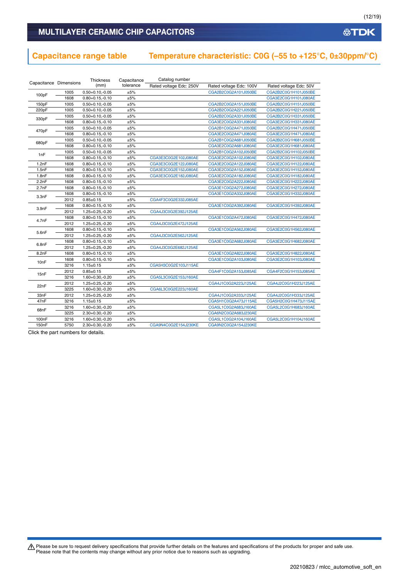# **Capacitance range table Temperature characteristic: C0G (–55 to +125°C, 0±30ppm/°C)**

| Capacitance Dimensions |      | Thickness            | Capacitance | Catalog number          |                         |                        |
|------------------------|------|----------------------|-------------|-------------------------|-------------------------|------------------------|
|                        |      | (mm)                 | tolerance   | Rated voltage Edc: 250V | Rated voltage Edc: 100V | Rated voltage Edc: 50V |
|                        | 1005 | $0.50 + 0.10, -0.05$ | ±5%         |                         | CGA2B2C0G2A101J050BE    | CGA2B2C0G1H101J050BE   |
| 100pF                  | 1608 | $0.80 + 0.15, -0.10$ | ±5%         |                         |                         | CGA3E2C0G1H101J080AE   |
| 150pF                  | 1005 | $0.50 + 0.10, -0.05$ | ±5%         |                         | CGA2B2C0G2A151J050BE    | CGA2B2C0G1H151J050BE   |
| 220pF                  | 1005 | $0.50 + 0.10, -0.05$ | ±5%         |                         | CGA2B2C0G2A221J050BE    | CGA2B2C0G1H221J050BE   |
|                        | 1005 | $0.50 + 0.10, -0.05$ | ±5%         |                         | CGA2B2C0G2A331J050BE    | CGA2B2C0G1H331J050BE   |
| 330pF                  | 1608 | $0.80 + 0.15, -0.10$ | ±5%         |                         | CGA3E2C0G2A331J080AE    | CGA3E2C0G1H331J080AE   |
|                        | 1005 | $0.50 + 0.10, -0.05$ | ±5%         |                         | CGA2B1C0G2A471J050BE    | CGA2B2C0G1H471J050BE   |
| 470pF                  | 1608 | $0.80 + 0.15, -0.10$ | ±5%         |                         | CGA3E2C0G2A471J080AE    | CGA3E2C0G1H471J080AE   |
|                        | 1005 | $0.50 + 0.10, -0.05$ | ±5%         |                         | CGA2B1C0G2A681J050BE    | CGA2B2C0G1H681J050BE   |
| 680pF                  | 1608 | $0.80 + 0.15, -0.10$ | ±5%         |                         | CGA3E2C0G2A681J080AE    | CGA3E2C0G1H681J080AE   |
|                        | 1005 | $0.50 + 0.10, -0.05$ | ±5%         |                         | CGA2B1C0G2A102J050BE    | CGA2B2C0G1H102J050BE   |
| 1nF                    | 1608 | $0.80 + 0.15, -0.10$ | ±5%         | CGA3E3C0G2E102J080AE    | CGA3E2C0G2A102J080AE    | CGA3E2C0G1H102J080AE   |
| 1.2nF                  | 1608 | $0.80 + 0.15, -0.10$ | ±5%         | CGA3E3C0G2E122J080AE    | CGA3E2C0G2A122J080AE    | CGA3E2C0G1H122J080AE   |
| 1.5nF                  | 1608 | $0.80 + 0.15, -0.10$ | ±5%         | CGA3E3C0G2E152J080AE    | CGA3E2C0G2A152J080AE    | CGA3E2C0G1H152J080AE   |
| 1.8nF                  | 1608 | $0.80 + 0.15, -0.10$ | ±5%         | CGA3E3C0G2E182J080AE    | CGA3E2C0G2A182J080AE    | CGA3E2C0G1H182J080AE   |
| 2.2nF                  | 1608 | $0.80 + 0.15, -0.10$ | ±5%         |                         | CGA3E2C0G2A222J080AE    | CGA3E2C0G1H222J080AE   |
| 2.7nF                  | 1608 | $0.80 + 0.15, -0.10$ | ±5%         |                         | CGA3E1C0G2A272J080AE    | CGA3E2C0G1H272J080AE   |
|                        | 1608 | $0.80 + 0.15, -0.10$ | ±5%         |                         | CGA3E1C0G2A332J080AE    | CGA3E2C0G1H332J080AE   |
| 3.3nF                  | 2012 | $0.85 \pm 0.15$      | ±5%         | CGA4F3C0G2E332J085AE    |                         |                        |
|                        | 1608 | $0.80 + 0.15, -0.10$ | ±5%         |                         | CGA3E1C0G2A392J080AE    | CGA3E2C0G1H392J080AE   |
| 3.9nF                  | 2012 | 1.25+0.25,-0.20      | ±5%         | CGA4J3C0G2E392J125AE    |                         |                        |
|                        | 1608 | $0.80 + 0.15, -0.10$ | ±5%         |                         | CGA3E1C0G2A472J080AE    | CGA3E2C0G1H472J080AE   |
| 4.7nF                  | 2012 | $1.25 + 0.25 - 0.20$ | ±5%         | CGA4J3C0G2E472J125AE    |                         |                        |
|                        | 1608 | $0.80 + 0.15, -0.10$ | ±5%         |                         | CGA3E1C0G2A562J080AE    | CGA3E2C0G1H562J080AE   |
| 5.6nF                  | 2012 | $1.25 + 0.25 - 0.20$ | ±5%         | CGA4J3C0G2E562J125AE    |                         |                        |
|                        | 1608 | $0.80 + 0.15, -0.10$ | ±5%         |                         | CGA3E1C0G2A682J080AE    | CGA3E2C0G1H682J080AE   |
| 6.8nF                  | 2012 | 1.25+0.25,-0.20      | ±5%         | CGA4J3C0G2E682J125AE    |                         |                        |
| 8.2nF                  | 1608 | $0.80 + 0.15, -0.10$ | ±5%         |                         | CGA3E1C0G2A822J080AE    | CGA3E2C0G1H822J080AE   |
|                        | 1608 | $0.80 + 0.15, -0.10$ | ±5%         |                         | CGA3E1C0G2A103J080AE    | CGA3E2C0G1H103J080AE   |
| 10nF                   | 3216 | $1.15 \pm 0.15$      | ±5%         | CGA5H3C0G2E103J115AE    |                         |                        |
|                        | 2012 | $0.85 \pm 0.15$      | ±5%         |                         | CGA4F1C0G2A153J085AE    | CGA4F2C0G1H153J085AE   |
| 15nF                   | 3216 | $1.60 + 0.30, -0.20$ | ±5%         | CGA5L3C0G2E153J160AE    |                         |                        |
|                        | 2012 | $1.25 + 0.25 - 0.20$ | ±5%         |                         | CGA4J1C0G2A223J125AE    | CGA4J2C0G1H223J125AE   |
| 22nF                   | 3225 | $1.60 + 0.30, -0.20$ | ±5%         | CGA6L3C0G2E223J160AE    |                         |                        |
| 33nF                   | 2012 | $1.25 + 0.25, -0.20$ | ±5%         |                         | CGA4J1C0G2A333J125AE    | CGA4J2C0G1H333J125AE   |
| 47nF                   | 3216 | $1.15 \pm 0.15$      | ±5%         |                         | CGA5H1C0G2A473J115AE    | CGA5H2C0G1H473J115AE   |
|                        | 3216 | $1.60 + 0.30, -0.20$ | ±5%         |                         | CGA5L1C0G2A683J160AE    | CGA5L2C0G1H683J160AE   |
| 68nF                   | 3225 | $2.30+0.30,-0.20$    | ±5%         |                         | CGA6N2C0G2A683J230AE    |                        |
| 100 <sub>n</sub> F     | 3216 | $1.60 + 0.30, -0.20$ | ±5%         |                         | CGA5L1C0G2A104J160AE    | CGA5L2C0G1H104J160AE   |
| 150 <sub>n</sub> F     | 5750 | $2.30+0.30,-0.20$    | ±5%         | CGA9N4C0G2E154J230KE    | CGA9N2C0G2A154J230KE    |                        |

Click the part numbers for details.

Please be sure to request delivery specifications that provide further details on the features and specifications of the products for proper and safe use.<br>Please note that the contents may change without any prior notice d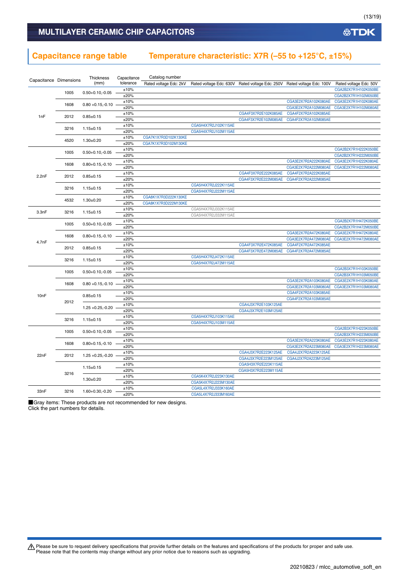### **Capacitance range table Temperature characteristic: X7R (–55 to +125°C, ±15%)**

| Capacitance Dimensions |      | Thickness            | Capacitance  | Catalog number         |                                              |                                                                         |                      |                                              |                      |  |  |  |
|------------------------|------|----------------------|--------------|------------------------|----------------------------------------------|-------------------------------------------------------------------------|----------------------|----------------------------------------------|----------------------|--|--|--|
|                        |      | (mm)                 | tolerance    | Rated voltage Edc: 2kV |                                              | Rated voltage Edc: 630V Rated voltage Edc: 250V Rated voltage Edc: 100V |                      | Rated voltage Edc: 50V                       |                      |  |  |  |
|                        | 1005 | $0.50 + 0.10, -0.05$ | ±10%         |                        |                                              |                                                                         |                      | CGA2B2X7R1H102K050BE                         |                      |  |  |  |
|                        |      |                      | ±20%         |                        |                                              |                                                                         |                      | CGA2B2X7R1H102M050BE                         |                      |  |  |  |
|                        | 1608 | $0.80 + 0.15, -0.10$ | ±10%         |                        |                                              |                                                                         | CGA3E2X7R2A102K080AE | CGA3E2X7R1H102K080AE                         |                      |  |  |  |
| 1nF                    |      |                      | ±20%         |                        |                                              |                                                                         | CGA3E2X7R2A102M080AE | CGA3E2X7R1H102M080AE                         |                      |  |  |  |
|                        | 2012 | $0.85 + 0.15$        | ±10%         |                        |                                              | CGA4F3X7R2E102K085AE                                                    | CGA4F2X7R2A102K085AE |                                              |                      |  |  |  |
|                        |      |                      | ±20%         |                        |                                              | CGA4F3X7R2E102M085AE                                                    | CGA4F2X7R2A102M085AE |                                              |                      |  |  |  |
|                        | 3216 | $1.15 \pm 0.15$      | ±10%         |                        | CGA5H4X7R2J102K115AE                         |                                                                         |                      |                                              |                      |  |  |  |
|                        |      |                      | ±20%         |                        | CGA5H4X7R2J102M115AE                         |                                                                         |                      |                                              |                      |  |  |  |
|                        | 4520 | $1.30 + 0.20$        | ±10%         | CGA7K1X7R3D102K130KE   |                                              |                                                                         |                      |                                              |                      |  |  |  |
|                        |      |                      | ±20%         | CGA7K1X7R3D102M130KE   |                                              |                                                                         |                      |                                              |                      |  |  |  |
|                        | 1005 | $0.50 + 0.10, -0.05$ | ±10%<br>±20% |                        |                                              |                                                                         |                      | CGA2B2X7R1H222K050BE<br>CGA2B2X7R1H222M050BE |                      |  |  |  |
|                        |      |                      | ±10%         |                        |                                              |                                                                         | CGA3E2X7R2A222K080AE | CGA3E2X7R1H222K080AE                         |                      |  |  |  |
|                        | 1608 | $0.80 + 0.15, -0.10$ | ±20%         |                        |                                              |                                                                         | CGA3E2X7R2A222M080AE | CGA3E2X7R1H222M080AE                         |                      |  |  |  |
|                        |      |                      | ±10%         |                        |                                              | CGA4F3X7R2E222K085AE                                                    | CGA4F2X7R2A222K085AE |                                              |                      |  |  |  |
| 2.2nF                  | 2012 | $0.85 \pm 0.15$      | ±20%         |                        |                                              | CGA4F3X7R2E222M085AE                                                    | CGA4F2X7R2A222M085AE |                                              |                      |  |  |  |
|                        |      |                      | ±10%         |                        | CGA5H4X7R2J222K115AE                         |                                                                         |                      |                                              |                      |  |  |  |
|                        | 3216 | $1.15 \pm 0.15$      | ±20%         |                        | CGA5H4X7R2J222M115AE                         |                                                                         |                      |                                              |                      |  |  |  |
|                        |      |                      | ±10%         | CGA8K1X7R3D222K130KE   |                                              |                                                                         |                      |                                              |                      |  |  |  |
|                        | 4532 | $1.30 + 0.20$        | ±20%         | CGA8K1X7R3D222M130KE   |                                              |                                                                         |                      |                                              |                      |  |  |  |
|                        |      |                      | ±10%         |                        | CGA5H4X7R2J332K115AE                         |                                                                         |                      |                                              |                      |  |  |  |
| 3.3nF                  | 3216 | $1.15 \pm 0.15$      | ±20%         |                        | CGA5H4X7R2J332M115AE                         |                                                                         |                      |                                              |                      |  |  |  |
|                        |      |                      | ±10%         |                        |                                              |                                                                         |                      | CGA2B2X7R1H472K050BE                         |                      |  |  |  |
|                        | 1005 | $0.50 + 0.10, -0.05$ | ±20%         |                        |                                              |                                                                         |                      | CGA2B2X7R1H472M050BE                         |                      |  |  |  |
| 4.7nF                  |      |                      | ±10%         |                        |                                              |                                                                         | CGA3E2X7R2A472K080AE | CGA3E2X7R1H472K080AE                         |                      |  |  |  |
|                        | 1608 | $0.80 + 0.15, -0.10$ | ±20%         |                        |                                              |                                                                         | CGA3E2X7R2A472M080AE | CGA3E2X7R1H472M080AE                         |                      |  |  |  |
|                        | 2012 |                      | ±10%         |                        |                                              | CGA4F3X7R2E472K085AE                                                    | CGA4F2X7R2A472K085AE |                                              |                      |  |  |  |
|                        |      | $0.85 \pm 0.15$      | ±20%         |                        |                                              | CGA4F3X7R2E472M085AE                                                    | CGA4F2X7R2A472M085AE |                                              |                      |  |  |  |
|                        | 3216 | $1.15 \pm 0.15$      | ±10%         |                        | CGA5H4X7R2J472K115AE                         |                                                                         |                      |                                              |                      |  |  |  |
|                        |      |                      | ±20%         |                        | CGA5H4X7R2J472M115AE                         |                                                                         |                      |                                              |                      |  |  |  |
|                        | 1005 | $0.50 + 0.10, -0.05$ | ±10%         |                        |                                              |                                                                         |                      | CGA2B3X7R1H103K050BE                         |                      |  |  |  |
|                        |      |                      | ±20%         |                        |                                              |                                                                         |                      | CGA2B3X7R1H103M050BE                         |                      |  |  |  |
|                        | 1608 | $0.80 + 0.15, -0.10$ | ±10%         |                        |                                              |                                                                         | CGA3E2X7R2A103K080AE | CGA3E2X7R1H103K080AE                         |                      |  |  |  |
|                        |      |                      | ±20%         |                        |                                              |                                                                         | CGA3E2X7R2A103M080AE | CGA3E2X7R1H103M080AE                         |                      |  |  |  |
| 10nF                   |      | $0.85 \pm 0.15$      | ±10%         |                        |                                              |                                                                         | CGA4F2X7R2A103K085AE |                                              |                      |  |  |  |
|                        | 2012 |                      | ±20%         |                        |                                              |                                                                         | CGA4F2X7R2A103M085AE |                                              |                      |  |  |  |
|                        |      | $1.25 + 0.25 - 0.20$ | ±10%         |                        |                                              | CGA4J3X7R2E103K125AE                                                    |                      |                                              |                      |  |  |  |
|                        |      |                      | ±20%         |                        |                                              | CGA4J3X7R2E103M125AE                                                    |                      |                                              |                      |  |  |  |
|                        | 3216 | $1.15 \pm 0.15$      | ±10%         |                        | CGA5H4X7R2J103K115AE<br>CGA5H4X7R2J103M115AE |                                                                         |                      |                                              |                      |  |  |  |
|                        |      |                      | ±20%<br>±10% |                        |                                              |                                                                         |                      | CGA2B3X7R1H223K050BE                         |                      |  |  |  |
|                        | 1005 | $0.50 + 0.10, -0.05$ | ±20%         |                        |                                              |                                                                         |                      | CGA2B3X7R1H223M050BE                         |                      |  |  |  |
|                        |      |                      | ±10%         |                        |                                              |                                                                         | CGA3E2X7R2A223K080AE | CGA3E2X7R1H223K080AE                         |                      |  |  |  |
|                        | 1608 | $0.80 + 0.15, -0.10$ | ±20%         |                        |                                              |                                                                         | CGA3E2X7R2A223M080AE | CGA3E2X7R1H223M080AE                         |                      |  |  |  |
|                        |      |                      | ±10%         |                        |                                              | CGA4J3X7R2E223K125AE                                                    | CGA4J2X7R2A223K125AE |                                              |                      |  |  |  |
| 22nF                   | 2012 | $1.25 + 0.25 - 0.20$ | ±20%         |                        |                                              | CGA4J3X7R2E223M125AE                                                    | CGA4J2X7R2A223M125AE |                                              |                      |  |  |  |
|                        |      |                      | ±10%         |                        |                                              | CGA5H3X7R2E223K115AE                                                    |                      |                                              |                      |  |  |  |
|                        |      | $1.15 \pm 0.15$      | ±20%         |                        |                                              | CGA5H3X7R2E223M115AE                                                    |                      |                                              |                      |  |  |  |
|                        | 3216 |                      | ±10%         |                        | CGA5K4X7R2J223K130AE                         |                                                                         |                      |                                              |                      |  |  |  |
|                        |      | $1.30 + 0.20$        | ±20%         |                        | CGA5K4X7R2J223M130AE                         |                                                                         |                      |                                              |                      |  |  |  |
|                        |      |                      |              |                        |                                              |                                                                         | ±10%                 |                                              | CGA5L4X7R2J333K160AE |  |  |  |
| 33nF                   | 3216 | 1.60+0.30,-0.20      | ±20%         |                        | CGA5L4X7R2J333M160AE                         |                                                                         |                      |                                              |                      |  |  |  |
|                        |      |                      |              |                        |                                              |                                                                         |                      |                                              |                      |  |  |  |

■Gray items: These products are not recommended for new designs. Click the part numbers for details.

Please be sure to request delivery specifications that provide further details on the features and specifications of the products for proper and safe use.<br>Please note that the contents may change without any prior notice d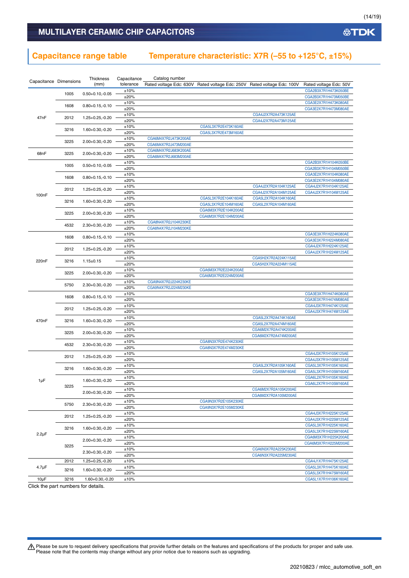### **Capacitance range table Temperature characteristic: X7R (–55 to +125°C, ±15%)**

| Capacitance Dimensions |      | <b>Thickness</b>     | Capacitance  | Catalog number                               |                                                                         |                      |                                              |
|------------------------|------|----------------------|--------------|----------------------------------------------|-------------------------------------------------------------------------|----------------------|----------------------------------------------|
|                        |      | (mm)                 | tolerance    |                                              | Rated voltage Edc: 630V Rated voltage Edc: 250V Rated voltage Edc: 100V |                      | Rated voltage Edc: 50V                       |
|                        | 1005 | $0.50 + 0.10, -0.05$ | ±10%         |                                              |                                                                         |                      | CGA2B3X7R1H473K050BE                         |
|                        |      |                      | ±20%         |                                              |                                                                         |                      | CGA2B3X7R1H473M050BE                         |
|                        | 1608 | $0.80 + 0.15, -0.10$ | ±10%         |                                              |                                                                         |                      | CGA3E2X7R1H473K080AE                         |
|                        |      |                      | ±20%         |                                              |                                                                         |                      | CGA3E2X7R1H473M080AE                         |
| 47nF                   | 2012 | 1.25+0.25,-0.20      | ±10%         |                                              |                                                                         | CGA4J2X7R2A473K125AE |                                              |
|                        |      |                      | ±20%         |                                              |                                                                         | CGA4J2X7R2A473M125AE |                                              |
|                        | 3216 | 1.60+0.30,-0.20      | ±10%         |                                              | CGA5L3X7R2E473K160AE                                                    |                      |                                              |
|                        |      |                      | ±20%         |                                              | CGA5L3X7R2E473M160AE                                                    |                      |                                              |
|                        | 3225 | 2.00+0.30,-0.20      | ±10%<br>±20% | CGA6M4X7R2J473K200AE<br>CGA6M4X7R2J473M200AE |                                                                         |                      |                                              |
|                        |      |                      | ±10%         | CGA6M4X7R2J683K200AE                         |                                                                         |                      |                                              |
| 68nF                   | 3225 | 2.00+0.30,-0.20      | ±20%         | CGA6M4X7R2J683M200AE                         |                                                                         |                      |                                              |
|                        |      |                      | ±10%         |                                              |                                                                         |                      | CGA2B3X7R1H104K050BE                         |
|                        | 1005 | $0.50 + 0.10, -0.05$ | ±20%         |                                              |                                                                         |                      | CGA2B3X7R1H104M050BE                         |
|                        |      |                      | ±10%         |                                              |                                                                         |                      | CGA3E2X7R1H104K080AE                         |
|                        | 1608 | $0.80 + 0.15, -0.10$ | ±20%         |                                              |                                                                         |                      | CGA3E2X7R1H104M080AE                         |
|                        |      |                      | ±10%         |                                              |                                                                         | CGA4J2X7R2A104K125AE | CGA4J2X7R1H104K125AE                         |
|                        | 2012 | $1.25 + 0.25, -0.20$ | ±20%         |                                              |                                                                         | CGA4J2X7R2A104M125AE | CGA4J2X7R1H104M125AE                         |
| 100 <sub>n</sub> F     |      |                      | ±10%         |                                              | CGA5L3X7R2E104K160AE                                                    | CGA5L2X7R2A104K160AE |                                              |
|                        | 3216 | $1.60 + 0.30, -0.20$ | ±20%         |                                              | CGA5L3X7R2E104M160AE                                                    | CGA5L2X7R2A104M160AE |                                              |
|                        | 3225 | 2.00+0.30,-0.20      | ±10%         |                                              | CGA6M3X7R2E104K200AE                                                    |                      |                                              |
|                        |      |                      | ±20%         |                                              | CGA6M3X7R2E104M200AE                                                    |                      |                                              |
|                        | 4532 | $2.30+0.30,-0.20$    | ±10%         | CGA8N4X7R2J104K230KE                         |                                                                         |                      |                                              |
|                        |      |                      | ±20%         | CGA8N4X7R2J104M230KE                         |                                                                         |                      |                                              |
|                        | 1608 | $0.80 + 0.15, -0.10$ | ±10%         |                                              |                                                                         |                      | CGA3E3X7R1H224K080AE                         |
|                        |      |                      | ±20%         |                                              |                                                                         |                      | CGA3E3X7R1H224M080AE                         |
|                        | 2012 | $1.25 + 0.25, -0.20$ | ±10%         |                                              |                                                                         |                      | CGA4J2X7R1H224K125AE                         |
|                        |      |                      | ±20%         |                                              |                                                                         |                      | CGA4J2X7R1H224M125AE                         |
| 220nF                  | 3216 | $1.15 \pm 0.15$      | ±10%         |                                              |                                                                         | CGA5H2X7R2A224K115AE |                                              |
|                        |      |                      | ±20%         |                                              | CGA6M3X7R2E224K200AE                                                    | CGA5H2X7R2A224M115AE |                                              |
|                        | 3225 | 2.00+0.30,-0.20      | ±10%<br>±20% |                                              | CGA6M3X7R2E224M200AE                                                    |                      |                                              |
|                        |      |                      | ±10%         | CGA9N4X7R2J224K230KE                         |                                                                         |                      |                                              |
|                        | 5750 | 2.30+0.30,-0.20      | ±20%         | CGA9N4X7R2J224M230KE                         |                                                                         |                      |                                              |
|                        |      |                      | ±10%         |                                              |                                                                         |                      | CGA3E3X7R1H474K080AE                         |
|                        | 1608 | $0.80 + 0.15, -0.10$ | ±20%         |                                              |                                                                         |                      | CGA3E3X7R1H474M080AE                         |
|                        |      |                      | ±10%         |                                              |                                                                         |                      | CGA4J3X7R1H474K125AE                         |
|                        | 2012 | 1.25+0.25,-0.20      | ±20%         |                                              |                                                                         |                      | CGA4J3X7R1H474M125AE                         |
| 470nF                  | 3216 | $1.60 + 0.30, -0.20$ | ±10%         |                                              |                                                                         | CGA5L2X7R2A474K160AE |                                              |
|                        |      |                      | ±20%         |                                              |                                                                         | CGA5L2X7R2A474M160AE |                                              |
|                        | 3225 | 2.00+0.30,-0.20      | ±10%         |                                              |                                                                         | CGA6M2X7R2A474K200AE |                                              |
|                        |      |                      | ±20%         |                                              |                                                                         | CGA6M2X7R2A474M200AE |                                              |
|                        | 4532 | 2.30+0.30,-0.20      | ±10%         |                                              | CGA8N3X7R2E474K230KE                                                    |                      |                                              |
|                        |      |                      | ±20%         |                                              | CGA8N3X7R2E474M230KE                                                    |                      |                                              |
|                        | 2012 | 1.25+0.25,-0.20      | ±10%         |                                              |                                                                         |                      | CGA4J3X7R1H105K125AE                         |
|                        |      |                      | ±20%         |                                              |                                                                         | CGA5L2X7R2A105K160AE | CGA4J3X7R1H105M125AE                         |
|                        | 3216 | 1.60+0.30,-0.20      | ±10%         |                                              |                                                                         | CGA5L2X7R2A105M160AE | CGA5L3X7R1H105K160AE<br>CGA5L3X7R1H105M160AE |
|                        |      |                      | ±20%<br>±10% |                                              |                                                                         |                      | CGA6L2X7R1H105K160AE                         |
| 1µF                    |      | $1.60 + 0.30, -0.20$ | ±20%         |                                              |                                                                         |                      | CGA6L2X7R1H105M160AE                         |
|                        | 3225 |                      | ±10%         |                                              |                                                                         | CGA6M2X7R2A105K200AE |                                              |
|                        |      | 2.00+0.30,-0.20      | ±20%         |                                              |                                                                         | CGA6M2X7R2A105M200AE |                                              |
|                        |      |                      | ±10%         |                                              | CGA9N3X7R2E105K230KE                                                    |                      |                                              |
|                        | 5750 | 2.30+0.30,-0.20      | ±20%         |                                              | CGA9N3X7R2E105M230KE                                                    |                      |                                              |
|                        |      |                      | ±10%         |                                              |                                                                         |                      | CGA4J3X7R1H225K125AE                         |
|                        | 2012 | $1.25 + 0.25, -0.20$ | ±20%         |                                              |                                                                         |                      | CGA4J3X7R1H225M125AE                         |
|                        | 3216 | 1.60+0.30,-0.20      | ±10%         |                                              |                                                                         |                      | CGA5L3X7R1H225K160AE                         |
| $2.2\mu F$             |      |                      | ±20%         |                                              |                                                                         |                      | CGA5L3X7R1H225M160AE                         |
|                        |      | 2.00+0.30,-0.20      | ±10%         |                                              |                                                                         |                      | CGA6M3X7R1H225K200AE                         |
|                        | 3225 |                      | ±20%         |                                              |                                                                         |                      | CGA6M3X7R1H225M200AE                         |
|                        |      | 2.30+0.30,-0.20      | ±10%         |                                              |                                                                         | CGA6N3X7R2A225K230AE |                                              |
|                        |      |                      | ±20%         |                                              |                                                                         | CGA6N3X7R2A225M230AE |                                              |
|                        | 2012 | 1.25+0.25,-0.20      | ±10%         |                                              |                                                                         |                      | CGA4J1X7R1H475K125AE                         |
| $4.7 \mu F$            | 3216 | $1.60 + 0.30, -0.20$ | ±10%         |                                              |                                                                         |                      | CGA5L3X7R1H475K160AE                         |
|                        |      |                      | ±20%         |                                              |                                                                         |                      | CGA5L3X7R1H475M160AE                         |
| $10\mu F$              | 3216 | 1.60+0.30,-0.20      | ±10%         |                                              |                                                                         |                      | CGA5L1X7R1H106K160AE                         |

Click the part numbers for details.

Please be sure to request delivery specifications that provide further details on the features and specifications of the products for proper and safe use.<br>Please note that the contents may change without any prior notice d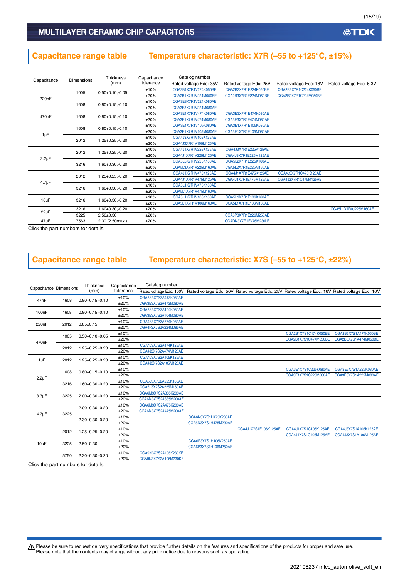# **Capacitance range table Temperature characteristic: X7R (–55 to +125°C, ±15%)**

|                    | Dimensions           | <b>Thickness</b>     | Capacitance          | Catalog number         |                        |                        |                         |
|--------------------|----------------------|----------------------|----------------------|------------------------|------------------------|------------------------|-------------------------|
| Capacitance        |                      | (mm)                 | tolerance            | Rated voltage Edc: 35V | Rated voltage Edc: 25V | Rated voltage Edc: 16V | Rated voltage Edc: 6.3V |
|                    | 1005                 | $0.50 + 0.10, -0.05$ | ±10%                 | CGA2B1X7R1V224K050BE   | CGA2B3X7R1E224K050BE   | CGA2B2X7R1C224K050BE   |                         |
| 220 <sub>n</sub> F |                      |                      | ±20%                 | CGA2B1X7R1V224M050BE   | CGA2B3X7R1E224M050BE   | CGA2B2X7R1C224M050BE   |                         |
|                    | 1608                 | $0.80 + 0.15, -0.10$ | ±10%                 | CGA3E3X7R1V224K080AE   |                        |                        |                         |
|                    |                      |                      | ±20%                 | CGA3E3X7R1V224M080AE   |                        |                        |                         |
| 470 <sub>n</sub> F | 1608                 | $0.80 + 0.15, -0.10$ | ±10%                 | CGA3E1X7R1V474K080AE   | CGA3E3X7R1E474K080AE   |                        |                         |
|                    |                      |                      | ±20%                 | CGA3E1X7R1V474M080AE   | CGA3E3X7R1E474M080AE   |                        |                         |
|                    | 1608                 |                      | ±10%                 | CGA3E1X7R1V105K080AE   | CGA3E1X7R1E105K080AE   |                        |                         |
| $1\mu F$           | $0.80 + 0.15, -0.10$ | ±20%                 | CGA3E1X7R1V105M080AE | CGA3E1X7R1E105M080AE   |                        |                        |                         |
|                    | 2012                 | $1.25 + 0.25, -0.20$ | ±10%                 | CGA4J3X7R1V105K125AE   |                        |                        |                         |
|                    |                      |                      | ±20%                 | CGA4J3X7R1V105M125AE   |                        |                        |                         |
|                    | 2012                 | $1.25 + 0.25, -0.20$ | ±10%                 | CGA4J1X7R1V225K125AE   | CGA4J3X7R1E225K125AE   |                        |                         |
| $2.2\mu F$         |                      |                      | ±20%                 | CGA4J1X7R1V225M125AE   | CGA4J3X7R1E225M125AE   |                        |                         |
|                    | 3216                 | $1.60 + 0.30, -0.20$ | ±10%                 | CGA5L3X7R1V225K160AE   | CGA5L2X7R1E225K160AE   |                        |                         |
|                    |                      |                      | ±20%                 | CGA5L3X7R1V225M160AE   | CGA5L2X7R1E225M160AE   |                        |                         |
|                    | 2012                 | $1.25 + 0.25, -0.20$ | ±10%                 | CGA4J1X7R1V475K125AE   | CGA4J1X7R1E475K125AE   | CGA4J3X7R1C475K125AE   |                         |
| $4.7\mu F$         |                      |                      | ±20%                 | CGA4J1X7R1V475M125AE   | CGA4J1X7R1E475M125AE   | CGA4J3X7R1C475M125AE   |                         |
|                    | 3216                 | $1.60 + 0.30, -0.20$ | ±10%                 | CGA5L1X7R1V475K160AE   |                        |                        |                         |
|                    |                      |                      | ±20%                 | CGA5L1X7R1V475M160AE   |                        |                        |                         |
|                    | 3216                 | 1.60+0.30,-0.20      | ±10%                 | CGA5L1X7R1V106K160AE   | CGA5L1X7R1E106K160AE   |                        |                         |
| $10\mu F$          |                      |                      | ±20%                 | CGA5L1X7R1V106M160AE   | CGA5L1X7R1E106M160AE   |                        |                         |
| $22\mu F$          | 3216                 | 1.60+0.30,-0.20      | ±20%                 |                        |                        |                        | CGA5L1X7R0J226M160AE    |
|                    | 3225                 | $2.50 + 0.30$        | ±20%                 |                        | CGA6P3X7R1E226M250AE   |                        |                         |
| $47\mu F$          | 7563                 | 2.30 (2.50max.)      | ±20%                 |                        | CGADN3X7R1E476M230LE   |                        |                         |

Click the part numbers for details.

### **Capacitance range table Temperature characteristic: X7S (–55 to +125°C, ±22%)**

| Capacitance Dimensions |      | Thickness              | Capacitance | Catalog number          |                                                                                             |                      |                      |                      |
|------------------------|------|------------------------|-------------|-------------------------|---------------------------------------------------------------------------------------------|----------------------|----------------------|----------------------|
|                        |      | (mm)                   | tolerance   | Rated voltage Edc: 100V | Rated voltage Edc: 50V Rated voltage Edc: 25V Rated voltage Edc: 16V Rated voltage Edc: 10V |                      |                      |                      |
| 47nF                   | 1608 | $0.80 + 0.15, -0.10$   | ±10%        | CGA3E3X7S2A473K080AE    |                                                                                             |                      |                      |                      |
|                        |      |                        | ±20%        | CGA3E3X7S2A473M080AE    |                                                                                             |                      |                      |                      |
| 100 <sub>n</sub> F     | 1608 | $0.80 + 0.15, -0.10$   | ±10%        | CGA3E3X7S2A104K080AE    |                                                                                             |                      |                      |                      |
|                        |      |                        | ±20%        | CGA3E3X7S2A104M080AE    |                                                                                             |                      |                      |                      |
| 220 <sub>n</sub> F     | 2012 | $0.85 + 0.15$          | ±10%        | CGA4F3X7S2A224K085AE    |                                                                                             |                      |                      |                      |
|                        |      |                        | ±20%        | CGA4F3X7S2A224M085AE    |                                                                                             |                      |                      |                      |
|                        | 1005 | $0.50 + 0.10, -0.05$   | ±10%        |                         |                                                                                             |                      | CGA2B1X7S1C474K050BE | CGA2B3X7S1A474K050BE |
| 470 <sub>n</sub> F     |      |                        | ±20%        |                         |                                                                                             |                      | CGA2B1X7S1C474M050BE | CGA2B3X7S1A474M050BE |
|                        |      | $1.25 + 0.25 - 0.20$   | ±10%        | CGA4J3X7S2A474K125AE    |                                                                                             |                      |                      |                      |
|                        | 2012 |                        | ±20%        | CGA4J3X7S2A474M125AE    |                                                                                             |                      |                      |                      |
|                        |      |                        | ±10%        | CGA4J3X7S2A105K125AE    |                                                                                             |                      |                      |                      |
| $1 \mu F$              | 2012 | $1.25 + 0.25 - 0.20$   | ±20%        | CGA4J3X7S2A105M125AE    |                                                                                             |                      |                      |                      |
|                        |      | $0.80 + 0.15, -0.10$ - | ±10%        |                         |                                                                                             |                      | CGA3E1X7S1C225K080AE | CGA3E3X7S1A225K080AE |
|                        | 1608 |                        | ±20%        |                         |                                                                                             |                      | CGA3E1X7S1C225M080AE | CGA3E3X7S1A225M080AE |
| $2.2 \mu F$            |      |                        | ±10%        | CGA5L3X7S2A225K160AE    |                                                                                             |                      |                      |                      |
|                        | 3216 | $1.60 + 0.30, -0.20$   | ±20%        | CGA5L3X7S2A225M160AE    |                                                                                             |                      |                      |                      |
|                        |      |                        | ±10%        | CGA6M3X7S2A335K200AE    |                                                                                             |                      |                      |                      |
| $3.3\mu F$             | 3225 | $2.00+0.30,-0.20$      | ±20%        | CGA6M3X7S2A335M200AE    |                                                                                             |                      |                      |                      |
|                        |      |                        | ±10%        | CGA6M3X7S2A475K200AE    |                                                                                             |                      |                      |                      |
|                        |      | $2.00+0.30,-0.20$      | ±20%        | CGA6M3X7S2A475M200AE    |                                                                                             |                      |                      |                      |
| $4.7 \mu F$            | 3225 |                        | ±10%        |                         | CGA6N3X7S1H475K230AE                                                                        |                      |                      |                      |
|                        |      | $2.30 + 0.30, -0.20$   | ±20%        |                         | CGA6N3X7S1H475M230AE                                                                        |                      |                      |                      |
|                        |      |                        | ±10%        |                         |                                                                                             | CGA4J1X7S1E106K125AE | CGA4J1X7S1C106K125AE | CGA4J3X7S1A106K125AE |
|                        | 2012 | $1.25 + 0.25 - 0.20$   | ±20%        |                         |                                                                                             |                      | CGA4J1X7S1C106M125AE | CGA4J3X7S1A106M125AE |
|                        |      |                        | ±10%        |                         | CGA6P3X7S1H106K250AE                                                                        |                      |                      |                      |
| $10\mu F$              | 3225 | $2.50 + 0.30$          | ±20%        |                         | CGA6P3X7S1H106M250AE                                                                        |                      |                      |                      |
|                        |      |                        | ±10%        | CGA9N3X7S2A106K230KE    |                                                                                             |                      |                      |                      |
|                        | 5750 | $2.30 + 0.30, -0.20$   | ±20%        | CGA9N3X7S2A106M230KE    |                                                                                             |                      |                      |                      |

Click the part numbers for details.

Please be sure to request delivery specifications that provide further details on the features and specifications of the products for proper and safe use.<br>Please note that the contents may change without any prior notice d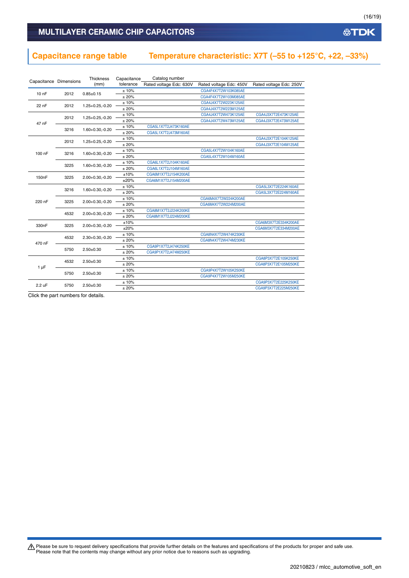### MULTILAYER CERAMIC CHIP CAPACITORS

### **Capacitance range table Temperature characteristic: X7T (–55 to +125°C, +22, –33%)**

|                    | Capacitance Dimensions | <b>Thickness</b>     | Capacitance | Catalog number          |                         |                         |
|--------------------|------------------------|----------------------|-------------|-------------------------|-------------------------|-------------------------|
|                    |                        | (mm)                 | tolerance   | Rated voltage Edc: 630V | Rated voltage Edc: 450V | Rated voltage Edc: 250V |
| $100$ F            | 2012                   | $0.85 \pm 0.15$      | ±10%        |                         | CGA4F4X7T2W103K085AE    |                         |
|                    |                        |                      | ±20%        |                         | CGA4F4X7T2W103M085AE    |                         |
| 22 nF              | 2012                   | $1.25 + 0.25 - 0.20$ | ±10%        |                         | CGA4J4X7T2W223K125AE    |                         |
|                    |                        |                      | ±20%        |                         | CGA4J4X7T2W223M125AE    |                         |
|                    | 2012                   | 1.25+0.25,-0.20      | ±10%        |                         | CGA4J4X7T2W473K125AE    | CGA4J3X7T2E473K125AE    |
| 47 nF              |                        |                      | ±20%        |                         | CGA4J4X7T2W473M125AE    | CGA4J3X7T2E473M125AE    |
|                    | 3216                   | 1.60+0.30,-0.20      | ±10%        | CGA5L1X7T2J473K160AE    |                         |                         |
|                    |                        |                      | ± 20%       | CGA5L1X7T2J473M160AE    |                         |                         |
|                    | 2012                   | 1.25+0.25,-0.20      | ±10%        |                         |                         | CGA4J3X7T2E104K125AE    |
|                    |                        |                      | ±20%        |                         |                         | CGA4J3X7T2E104M125AE    |
| 100 nF             | 3216                   | 1.60+0.30,-0.20      | ±10%        |                         | CGA5L4X7T2W104K160AE    |                         |
|                    |                        |                      | ± 20%       |                         | CGA5L4X7T2W104M160AE    |                         |
|                    | 3225                   | 1.60+0.30,-0.20      | ±10%        | CGA6L1X7T2J104K160AE    |                         |                         |
|                    |                        |                      | ±20%        | CGA6L1X7T2J104M160AE    |                         |                         |
| 150 <sub>n</sub> F | 3225                   | $2.00+0.30,-0.20$    | ±10%        | CGA6M1X7T2J154K200AE    |                         |                         |
|                    |                        |                      | ±20%        | CGA6M1X7T2J154M200AE    |                         |                         |
|                    | 3216                   | 1.60+0.30,-0.20      | ±10%        |                         |                         | CGA5L3X7T2E224K160AE    |
|                    |                        |                      |             | ±20%                    |                         |                         |
| 220 nF             | 3225                   | 2.00+0.30,-0.20      | ±10%        |                         | CGA6M4X7T2W224K200AE    |                         |
|                    |                        |                      | ±20%        |                         | CGA6M4X7T2W224M200AE    |                         |
|                    | 4532                   | 2.00+0.30,-0.20      | ±10%        | CGA8M1X7T2J224K200KE    |                         |                         |
|                    |                        |                      | ±20%        | CGA8M1X7T2J224M200KE    |                         |                         |
| 330 <sub>n</sub> F | 3225                   | 2.00+0.30,-0.20      | ±10%        |                         |                         | CGA6M3X7T2E334K200AE    |
|                    |                        |                      | ±20%        |                         |                         | CGA6M3X7T2E334M200AE    |
|                    | 4532                   | $2.30+0.30,-0.20$    | ±10%        |                         | CGA8N4X7T2W474K230KE    |                         |
| 470 nF             |                        |                      | ±20%        |                         | CGA8N4X7T2W474M230KE    |                         |
|                    | 5750                   | $2.50 + 0.30$        | ±10%        | CGA9P1X7T2J474K250KE    |                         |                         |
|                    |                        |                      | ± 20%       | CGA9P1X7T2J474M250KE    |                         |                         |
|                    | 4532                   | $2.50+0.30$          | ±10%        |                         |                         | CGA8P3X7T2E105K250KE    |
| $1 \mu F$          |                        |                      | ±20%        |                         |                         | CGA8P3X7T2E105M250KE    |
|                    | 5750                   | $2.50 + 0.30$        | ±10%        |                         | CGA9P4X7T2W105K250KE    |                         |
|                    |                        |                      | ±20%        |                         | CGA9P4X7T2W105M250KE    |                         |
| 2.2 uF             | 5750                   | $2.50 + 0.30$        | ±10%        |                         |                         | CGA9P3X7T2E225K250KE    |
|                    |                        |                      | ±20%        |                         |                         | CGA9P3X7T2E225M250KE    |

Click the part numbers for details.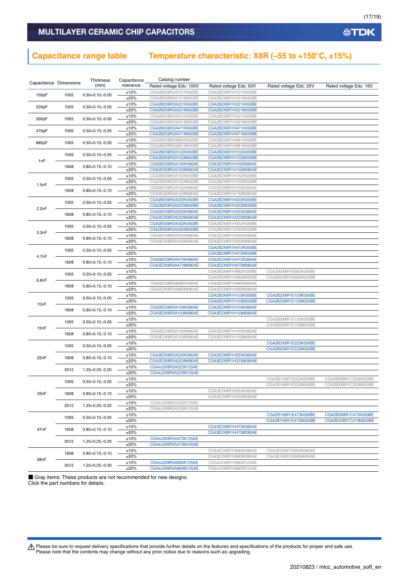### **Capacitance range table Temperature characteristic: X8R (–55 to +150°C, ±15%)**

| Capacitance Dimensions |      | Thickness            | Capacitance  | Catalog number                               |                                              |                        |                        |
|------------------------|------|----------------------|--------------|----------------------------------------------|----------------------------------------------|------------------------|------------------------|
|                        |      | (mm)                 | tolerance    | Rated voltage Edc: 100V                      | Rated voltage Edc: 50V                       | Rated voltage Edc: 25V | Rated voltage Edc: 16V |
| 150pF                  | 1005 | $0.50 + 0.10, -0.05$ | ±10%         | CGA2B2X8R2A151K050BE                         | CGA2B2X8R1H151K050BE                         |                        |                        |
|                        |      |                      | ±20%         | CGA2B2X8R2A151M050BE                         | CGA2B2X8R1H151M050BE                         |                        |                        |
| 220pF                  | 1005 | $0.50 + 0.10, -0.05$ | ±10%         | CGA2B2X8R2A221K050BE                         | CGA2B2X8R1H221K050BE                         |                        |                        |
|                        |      |                      | ±20%         | CGA2B2X8R2A221M050BE                         | CGA2B2X8R1H221M050BE                         |                        |                        |
| 330pF                  | 1005 | $0.50 + 0.10, -0.05$ | ±10%         | CGA2B2X8R2A331K050BE                         | CGA2B2X8R1H331K050BE                         |                        |                        |
|                        |      |                      | ±20%         | CGA2B2X8R2A331M050BE                         | CGA2B2X8R1H331M050BE                         |                        |                        |
| 470pF                  | 1005 | $0.50 + 0.10, -0.05$ | ±10%         | CGA2B2X8R2A471K050BE                         | CGA2B2X8R1H471K050BE                         |                        |                        |
|                        |      |                      | ±20%         | CGA2B2X8R2A471M050BE                         | CGA2B2X8R1H471M050BE                         |                        |                        |
| 680pF                  | 1005 | $0.50 + 0.10, -0.05$ | ±10%         | CGA2B2X8R2A681K050BE                         | CGA2B2X8R1H681K050BE                         |                        |                        |
|                        |      |                      | ±20%         | CGA2B2X8R2A681M050BE                         | CGA2B2X8R1H681M050BE                         |                        |                        |
|                        | 1005 | $0.50 + 0.10, -0.05$ | ±10%         | CGA2B2X8R2A102K050BE                         | CGA2B2X8R1H102K050BE                         |                        |                        |
|                        |      |                      | ±20%         | CGA2B2X8R2A102M050BE                         | CGA2B2X8R1H102M050BE                         |                        |                        |
| 1nF                    |      |                      | ±10%         | CGA3E2X8R2A102K080AE                         | CGA3E2X8R1H102K080AE                         |                        |                        |
|                        | 1608 | $0.80 + 0.15, -0.10$ | ±20%         | CGA3E2X8R2A102M080AE                         | CGA3E2X8R1H102M080AE                         |                        |                        |
|                        |      |                      | ±10%         | CGA2B2X8R2A152K050BE                         | CGA2B2X8R1H152K050BE                         |                        |                        |
|                        | 1005 | $0.50 + 0.10, -0.05$ | ±20%         | CGA2B2X8R2A152M050BE                         | CGA2B2X8R1H152M050BE                         |                        |                        |
| 1.5nF                  |      |                      | ±10%         | CGA3E2X8R2A152K080AE                         | CGA3E2X8R1H152K080AE                         |                        |                        |
|                        | 1608 | $0.80 + 0.15, -0.10$ | ±20%         | CGA3E2X8R2A152M080AE                         | CGA3E2X8R1H152M080AE                         |                        |                        |
|                        |      |                      | ±10%         | CGA2B2X8R2A222K050BE                         | CGA2B2X8R1H222K050BE                         |                        |                        |
|                        | 1005 | $0.50 + 0.10, -0.05$ | ±20%         | CGA2B2X8R2A222M050BE                         | CGA2B2X8R1H222M050BE                         |                        |                        |
| 2.2nF                  |      |                      | ±10%         | CGA3E2X8R2A222K080AE                         | CGA3E2X8R1H222K080AE                         |                        |                        |
|                        | 1608 | $0.80 + 0.15, -0.10$ | ±20%         | CGA3E2X8R2A222M080AE                         | CGA3E2X8R1H222M080AE                         |                        |                        |
|                        |      |                      | ±10%         | CGA2B3X8R2A332K050BE                         | CGA2B2X8R1H332K050BE                         |                        |                        |
|                        | 1005 | $0.50 + 0.10, -0.05$ | ±20%         | CGA2B3X8R2A332M050BE                         | CGA2B2X8R1H332M050BE                         |                        |                        |
| 3.3nF                  |      |                      | ±10%         | CGA3E2X8R2A332K080AE                         | CGA3E2X8R1H332K080AE                         |                        |                        |
|                        | 1608 | $0.80 + 0.15, -0.10$ | ±20%         | CGA3E2X8R2A332M080AE                         | CGA3E2X8R1H332M080AE                         |                        |                        |
|                        |      |                      | ±10%         |                                              | CGA2B2X8R1H472K050BE                         |                        |                        |
|                        | 1005 | $0.50 + 0.10, -0.05$ | ±20%         |                                              | CGA2B2X8R1H472M050BE                         |                        |                        |
| 4.7nF                  |      |                      | ±10%         | CGA3E2X8R2A472K080AE                         | CGA3E2X8R1H472K080AE                         |                        |                        |
| 1608                   |      | $0.80 + 0.15, -0.10$ | ±20%         | CGA3E2X8R2A472M080AE                         | CGA3E2X8R1H472M080AE                         |                        |                        |
|                        |      |                      | ±10%         |                                              | CGA2B3X8R1H682K050BE                         | CGA2B2X8R1E682K050BE   |                        |
|                        | 1005 | $0.50 + 0.10, -0.05$ | ±20%         |                                              | CGA2B3X8R1H682M050BE                         | CGA2B2X8R1E682M050BE   |                        |
| 6.8nF                  |      |                      | ±10%         | CGA3E2X8R2A682K080AE                         | CGA3E2X8R1H682K080AE                         |                        |                        |
|                        | 1608 | $0.80 + 0.15, -0.10$ | ±20%         | CGA3E2X8R2A682M080AE                         | CGA3E2X8R1H682M080AE                         |                        |                        |
|                        |      |                      | ±10%         |                                              | CGA2B3X8R1H103K050BE                         | CGA2B2X8R1E103K050BE   |                        |
|                        | 1005 | $0.50 + 0.10, -0.05$ | ±20%         |                                              | CGA2B3X8R1H103M050BE                         | CGA2B2X8R1E103M050BE   |                        |
| 10nF                   |      |                      |              |                                              |                                              |                        |                        |
|                        | 1608 | $0.80 + 0.15, -0.10$ | ±10%<br>±20% | CGA3E2X8R2A103K080AE<br>CGA3E2X8R2A103M080AE | CGA3E2X8R1H103K080AE<br>CGA3E2X8R1H103M080AE |                        |                        |
|                        |      |                      |              |                                              |                                              |                        |                        |
|                        | 1005 | $0.50 + 0.10, -0.05$ | ±10%         |                                              |                                              | CGA2B3X8R1E153K050BE   |                        |
| 15nF                   |      |                      | ±20%         |                                              |                                              | CGA2B3X8R1E153M050BE   |                        |
|                        | 1608 | $0.80 + 0.15, -0.10$ | ±10%         | CGA3E2X8R2A153K080AE                         | CGA3E2X8R1H153K080AE                         |                        |                        |
|                        |      |                      | ±20%         | CGA3E2X8R2A153M080AE                         | CGA3E2X8R1H153M080AE                         |                        |                        |
|                        | 1005 | $0.50 + 0.10, -0.05$ | ±10%         |                                              |                                              | CGA2B3X8R1E223K050BE   |                        |
|                        |      |                      | ±20%         |                                              |                                              | CGA2B3X8R1E223M050BE   |                        |
| 22nF                   | 1608 | $0.80 + 0.15, -0.10$ | ±10%         | CGA3E3X8R2A223K080AE                         | CGA3E2X8R1H223K080AE                         |                        |                        |
|                        |      |                      | ±20%         | CGA3E3X8R2A223M080AE                         | CGA3E2X8R1H223M080AE                         |                        |                        |
|                        | 2012 | $1.25 + 0.25, -0.20$ | ±10%         | CGA4J2X8R2A223K125AE                         |                                              |                        |                        |
|                        |      |                      | ±20%         | CGA4J2X8R2A223M125AE                         |                                              |                        |                        |
|                        | 1005 | $0.50 + 0.10, -0.05$ | ±10%         |                                              |                                              | CGA2B1X8R1E333K050BE   | CGA2B3X8R1C333K050BE   |
|                        |      |                      | ±20%         |                                              |                                              | CGA2B1X8R1E333M050BE   | CGA2B3X8R1C333M050BE   |
| 33nF                   | 1608 | $0.80 + 0.15, -0.10$ | ±10%         |                                              | CGA3E2X8R1H333K080AE                         |                        |                        |
|                        |      |                      | ±20%         |                                              | CGA3E2X8R1H333M080AE                         |                        |                        |
|                        | 2012 | $1.25 + 0.25 - 0.20$ | ±10%         | CGA4J3X8R2A333K125AE                         |                                              |                        |                        |
|                        |      |                      | ±20%         | CGA4J3X8R2A333M125AE                         |                                              |                        |                        |
|                        | 1005 | $0.50 + 0.10, -0.05$ | ±10%         |                                              |                                              | CGA2B1X8R1E473K050BE   | CGA2B3X8R1C473K050BE   |
|                        |      |                      | ±20%         |                                              |                                              | CGA2B1X8R1E473M050BE   | CGA2B3X8R1C473M050BE   |
| 47nF                   | 1608 | $0.80 + 0.15, -0.10$ | ±10%         |                                              | CGA3E2X8R1H473K080AE                         |                        |                        |
|                        |      |                      | ±20%         |                                              | CGA3E2X8R1H473M080AE                         |                        |                        |
|                        |      | $1.25 + 0.25 - 0.20$ | ±10%         | CGA4J3X8R2A473K125AE                         |                                              |                        |                        |
|                        | 2012 |                      | ±20%         | CGA4J3X8R2A473M125AE                         |                                              |                        |                        |
|                        |      |                      | ±10%         |                                              | CGA3E3X8R1H683K080AE                         | CGA3E2X8R1E683K080AE   |                        |
|                        | 1608 | $0.80 + 0.15, -0.10$ | ±20%         |                                              | CGA3E3X8R1H683M080AE                         | CGA3E2X8R1E683M080AE   |                        |
| 68nF                   |      | $1.25 + 0.25 - 0.20$ | ±10%         | CGA4J3X8R2A683K125AE                         | CGA4J2X8R1H683K125AE                         |                        |                        |
|                        | 2012 |                      | ±20%         | CGA4J3X8R2A683M125AE                         | CGA4J2X8R1H683M125AE                         |                        |                        |
|                        |      |                      |              |                                              |                                              |                        |                        |

■ Gray items: These products are not recommended for new designs. Click the part numbers for details.

Please be sure to request delivery specifications that provide further details on the features and specifications of the products for proper and safe use.<br>Please note that the contents may change without any prior notice d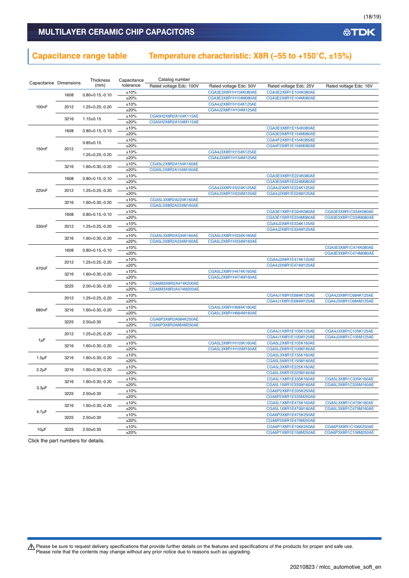### **Capacitance range table Temperature characteristic: X8R (–55 to +150°C, ±15%)**

| Capacitance Dimensions |      | Thickness<br>(mm)    | Capacitance<br>tolerance | Catalog number          |                        |                        |                        |
|------------------------|------|----------------------|--------------------------|-------------------------|------------------------|------------------------|------------------------|
|                        |      |                      |                          | Rated voltage Edc: 100V | Rated voltage Edc: 50V | Rated voltage Edc: 25V | Rated voltage Edc: 16V |
|                        | 1608 | $0.80 + 0.15, -0.10$ | ±10%                     |                         | CGA3E3X8R1H104K080AE   | CGA3E2X8R1E104K080AE   |                        |
|                        |      |                      | ±20%                     |                         | CGA3E3X8R1H104M080AE   | CGA3E2X8R1E104M080AE   |                        |
| 100 <sub>n</sub> F     | 2012 | 1.25+0.25,-0.20      | $\pm 10\%$               |                         | CGA4J2X8R1H104K125AE   |                        |                        |
|                        |      |                      | ±20%                     |                         | CGA4J2X8R1H104M125AE   |                        |                        |
|                        | 3216 | $1.15 \pm 0.15$      | ±10%                     | CGA5H2X8R2A104K115AE    |                        |                        |                        |
|                        |      |                      | ±20%                     | CGA5H2X8R2A104M115AE    |                        |                        |                        |
|                        | 1608 | $0.80 + 0.15, -0.10$ | ±10%                     |                         |                        | CGA3E3X8R1E154K080AE   |                        |
|                        |      |                      | ±20%                     |                         |                        | CGA3E3X8R1E154M080AE   |                        |
|                        |      | $0.85 \pm 0.15$      | ±10%                     |                         |                        | CGA4F2X8R1E154K085AE   |                        |
| 150 <sub>n</sub> F     | 2012 |                      | ±20%                     |                         |                        | CGA4F2X8R1E154M085AE   |                        |
|                        |      | 1.25+0.25,-0.20      | ±10%                     |                         | CGA4J3X8R1H154K125AE   |                        |                        |
|                        |      |                      | ±20%                     |                         | CGA4J3X8R1H154M125AE   |                        |                        |
|                        | 3216 | 1.60+0.30,-0.20      | ±10%                     | CGA5L2X8R2A154K160AE    |                        |                        |                        |
|                        |      |                      | ±20%                     | CGA5L2X8R2A154M160AE    |                        |                        |                        |
|                        | 1608 | $0.80 + 0.15, -0.10$ | ±10%                     |                         |                        | CGA3E3X8R1E224K080AE   |                        |
|                        |      |                      | ±20%                     |                         |                        | CGA3E3X8R1E224M080AE   |                        |
| 220 <sub>n</sub> F     | 2012 | 1.25+0.25,-0.20      | ±10%                     |                         | CGA4J3X8R1H224K125AE   | CGA4J2X8R1E224K125AE   |                        |
|                        |      |                      | ±20%                     |                         | CGA4J3X8R1H224M125AE   | CGA4J2X8R1E224M125AE   |                        |
|                        | 3216 | 1.60+0.30,-0.20      | ±10%                     | CGA5L3X8R2A224K160AE    |                        |                        |                        |
|                        |      |                      | ±20%                     | CGA5L3X8R2A224M160AE    |                        |                        |                        |
|                        | 1608 | $0.80 + 0.15, -0.10$ | ±10%                     |                         |                        | CGA3E1X8R1E334K080AE   | CGA3E3X8R1C334K080AE   |
|                        |      |                      | ±20%                     |                         |                        | CGA3E1X8R1E334M080AE   | CGA3E3X8R1C334M080AE   |
| 330nF                  | 2012 | $1.25 + 0.25 - 0.20$ | ±10%                     |                         |                        | CGA4J2X8R1E334K125AE   |                        |
|                        |      |                      | ±20%                     |                         |                        | CGA4J2X8R1E334M125AE   |                        |
|                        | 3216 | 1.60+0.30,-0.20      | ±10%                     | CGA5L3X8R2A334K160AE    | CGA5L2X8R1H334K160AE   |                        |                        |
|                        |      |                      | ±20%                     | CGA5L3X8R2A334M160AE    | CGA5L2X8R1H334M160AE   |                        |                        |
|                        | 1608 | $0.80 + 0.15, -0.10$ | ±10%                     |                         |                        |                        | CGA3E3X8R1C474K080AE   |
|                        |      |                      | ±20%                     |                         |                        |                        | CGA3E3X8R1C474M080AE   |
|                        | 2012 | 1.25+0.25,-0.20      | ±10%                     |                         |                        | CGA4J3X8R1E474K125AE   |                        |
| 470 <sub>n</sub> F     |      |                      | ±20%                     |                         |                        | CGA4J3X8R1E474M125AE   |                        |
|                        | 3216 | 1.60+0.30,-0.20      | ±10%                     |                         | CGA5L2X8R1H474K160AE   |                        |                        |
|                        |      |                      | ±20%                     |                         | CGA5L2X8R1H474M160AE   |                        |                        |
|                        | 3225 | $2.00 + 0.30, -0.20$ | ±10%                     | CGA6M3X8R2A474K200AE    |                        |                        |                        |
|                        |      |                      | ±20%                     | CGA6M3X8R2A474M200AE    |                        |                        |                        |
|                        | 2012 | 1.25+0.25,-0.20      | ±10%                     |                         |                        | CGA4J1X8R1E684K125AE   | CGA4J3X8R1C684K125AE   |
|                        |      |                      | ±20%                     |                         |                        | CGA4J1X8R1E684M125AE   | CGA4J3X8R1C684M125AE   |
| 680nF                  | 3216 | 1.60+0.30,-0.20      | ±10%                     |                         | CGA5L3X8R1H684K160AE   |                        |                        |
|                        |      |                      | ±20%                     |                         | CGA5L3X8R1H684M160AE   |                        |                        |
|                        | 3225 | $2.50 \pm 0.30$      | ±10%                     | CGA6P3X8R2A684K250AE    |                        |                        |                        |
|                        |      |                      | ±20%                     | CGA6P3X8R2A684M250AE    |                        |                        |                        |
|                        | 2012 | 1.25+0.25,-0.20      | ±10%                     |                         |                        | CGA4J1X8R1E105K125AE   | CGA4J3X8R1C105K125AE   |
| 1µF                    |      |                      | ±20%                     |                         |                        | CGA4J1X8R1E105M125AE   | CGA4J3X8R1C105M125AE   |
|                        | 3216 | $1.60 + 0.30, -0.20$ | ±10%                     |                         | CGA5L3X8R1H105K160AE   | CGA5L2X8R1E105K160AE   |                        |
|                        |      |                      | ±20%                     |                         | CGA5L3X8R1H105M160AE   | CGA5L2X8R1E105M160AE   |                        |
| $1.5 \mu F$            | 3216 | 1.60+0.30,-0.20      | ±10%                     |                         |                        | CGA5L3X8R1E155K160AE   |                        |
|                        |      |                      | ±20%                     |                         |                        | CGA5L3X8R1E155M160AE   |                        |
| $2.2 \mu F$            | 3216 | $1.60 + 0.30, -0.20$ | $\pm 10\%$               |                         |                        | CGA5L3X8R1E225K160AE   |                        |
|                        |      |                      | ±20%                     |                         |                        | CGA5L3X8R1E225M160AE   |                        |
|                        | 3216 | $1.60 + 0.30, -0.20$ | ±10%                     |                         |                        | CGA5L1X8R1E335K160AE   | CGA5L3X8R1C335K160AE   |
| $3.3 \mu F$            |      |                      | ±20%                     |                         |                        | CGA5L1X8R1E335M160AE   | CGA5L3X8R1C335M160AE   |
|                        | 3225 | $2.50 + 0.30$        | $\pm 10\%$               |                         |                        | CGA6P2X8R1E335K250AE   |                        |
|                        |      |                      | ±20%                     |                         |                        | CGA6P2X8R1E335M250AE   |                        |
|                        | 3216 | 1.60+0.30,-0.20      | ±10%                     |                         |                        | CGA5L1X8R1E475K160AE   | CGA5L3X8R1C475K160AE   |
| $4.7 \mu F$            |      |                      | ±20%                     |                         |                        | CGA5L1X8R1E475M160AE   | CGA5L3X8R1C475M160AE   |
|                        | 3225 | $2.50 + 0.30$        | ±10%                     |                         |                        | CGA6P3X8R1E475K250AE   |                        |
|                        |      |                      | ±20%                     |                         |                        | CGA6P3X8R1E475M250AE   |                        |
| $10\mu F$              | 3225 | $2.50 \pm 0.30$      | ±10%                     |                         |                        | CGA6P1X8R1E106K250AE   | CGA6P3X8R1C106K250AE   |
|                        |      |                      | ±20%                     |                         |                        | CGA6P1X8R1E106M250AE   | CGA6P3X8R1C106M250AE   |

Click the part numbers for details.

Please be sure to request delivery specifications that provide further details on the features and specifications of the products for proper and safe use.<br>Please note that the contents may change without any prior notice d